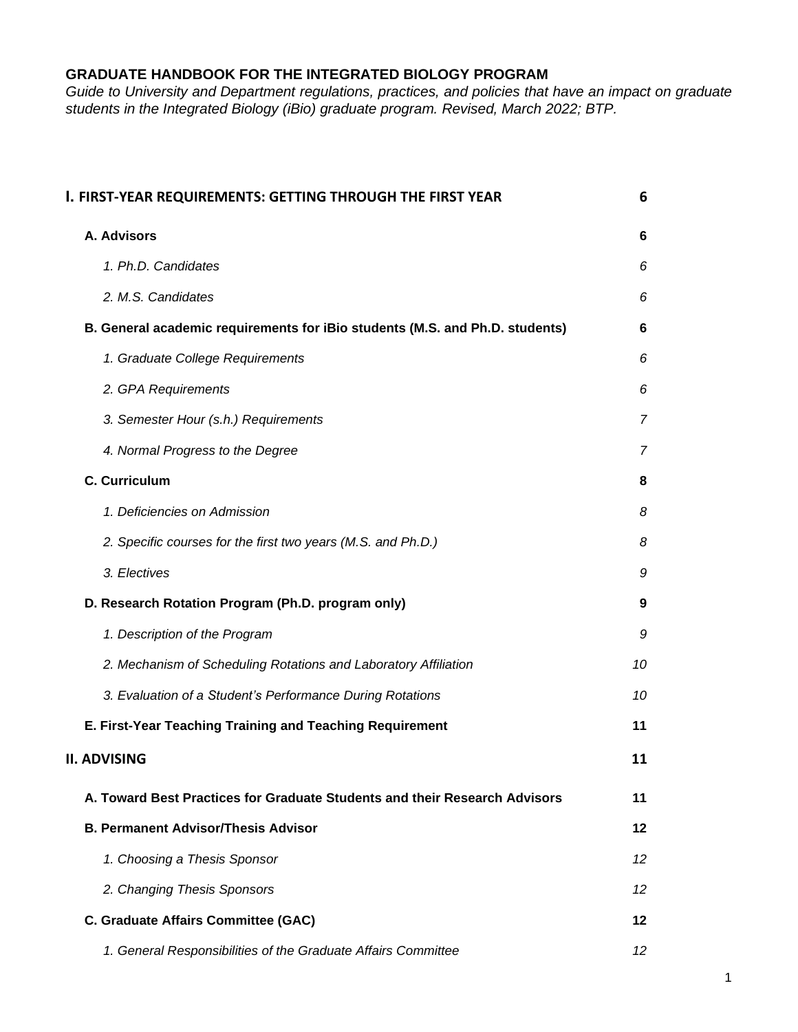# **GRADUATE HANDBOOK FOR THE INTEGRATED BIOLOGY PROGRAM**

*Guide to University and Department regulations, practices, and policies that have an impact on graduate students in the Integrated Biology (iBio) graduate program. Revised, March 2022; BTP.*

| I. FIRST-YEAR REQUIREMENTS: GETTING THROUGH THE FIRST YEAR                   | 6               |
|------------------------------------------------------------------------------|-----------------|
| A. Advisors                                                                  | 6               |
| 1. Ph.D. Candidates                                                          | 6               |
| 2. M.S. Candidates                                                           | 6               |
| B. General academic requirements for iBio students (M.S. and Ph.D. students) | 6               |
| 1. Graduate College Requirements                                             | 6               |
| 2. GPA Requirements                                                          | 6               |
| 3. Semester Hour (s.h.) Requirements                                         | $\overline{7}$  |
| 4. Normal Progress to the Degree                                             | 7               |
| C. Curriculum                                                                | 8               |
| 1. Deficiencies on Admission                                                 | 8               |
| 2. Specific courses for the first two years (M.S. and Ph.D.)                 | 8               |
| 3. Electives                                                                 | 9               |
| D. Research Rotation Program (Ph.D. program only)                            | 9               |
| 1. Description of the Program                                                | 9               |
| 2. Mechanism of Scheduling Rotations and Laboratory Affiliation              | 10              |
| 3. Evaluation of a Student's Performance During Rotations                    | 10              |
| E. First-Year Teaching Training and Teaching Requirement                     | 11              |
| <b>II. ADVISING</b>                                                          | 11              |
| A. Toward Best Practices for Graduate Students and their Research Advisors   | 11              |
| <b>B. Permanent Advisor/Thesis Advisor</b>                                   | 12              |
| 1. Choosing a Thesis Sponsor                                                 | 12              |
| 2. Changing Thesis Sponsors                                                  | 12              |
| C. Graduate Affairs Committee (GAC)                                          | 12              |
| 1. General Responsibilities of the Graduate Affairs Committee                | 12 <sup>°</sup> |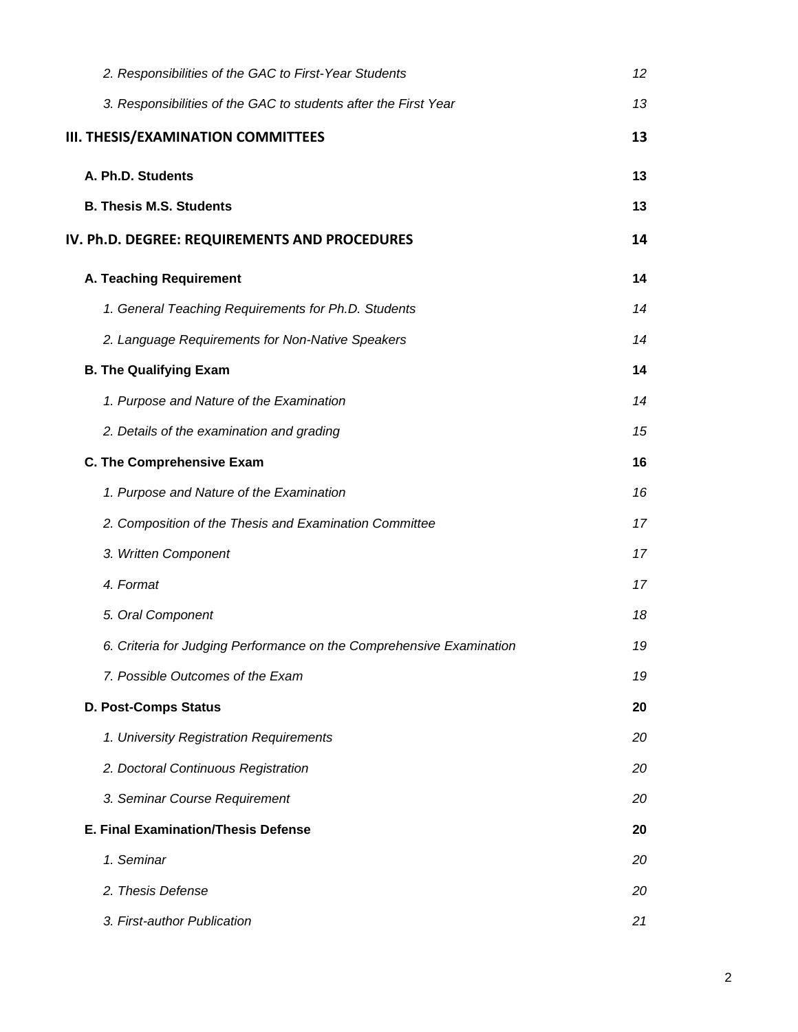| 2. Responsibilities of the GAC to First-Year Students                | 12 <sup>°</sup> |
|----------------------------------------------------------------------|-----------------|
| 3. Responsibilities of the GAC to students after the First Year      | 13              |
| <b>III. THESIS/EXAMINATION COMMITTEES</b>                            | 13              |
| A. Ph.D. Students                                                    | 13              |
| <b>B. Thesis M.S. Students</b>                                       | 13              |
| IV. Ph.D. DEGREE: REQUIREMENTS AND PROCEDURES                        | 14              |
| A. Teaching Requirement                                              | 14              |
| 1. General Teaching Requirements for Ph.D. Students                  | 14              |
| 2. Language Requirements for Non-Native Speakers                     | 14              |
| <b>B. The Qualifying Exam</b>                                        | 14              |
| 1. Purpose and Nature of the Examination                             | 14              |
| 2. Details of the examination and grading                            | 15              |
| C. The Comprehensive Exam                                            | 16              |
| 1. Purpose and Nature of the Examination                             | 16              |
| 2. Composition of the Thesis and Examination Committee               | 17              |
| 3. Written Component                                                 | 17              |
| 4. Format                                                            | 17              |
| 5. Oral Component                                                    | 18              |
| 6. Criteria for Judging Performance on the Comprehensive Examination | 19              |
| 7. Possible Outcomes of the Exam                                     | 19              |
| <b>D. Post-Comps Status</b>                                          | 20              |
| 1. University Registration Requirements                              | 20              |
| 2. Doctoral Continuous Registration                                  | 20              |
| 3. Seminar Course Requirement                                        | 20              |
| <b>E. Final Examination/Thesis Defense</b>                           | 20              |
| 1. Seminar                                                           | 20              |
| 2. Thesis Defense                                                    | 20              |
| 3. First-author Publication                                          | 21              |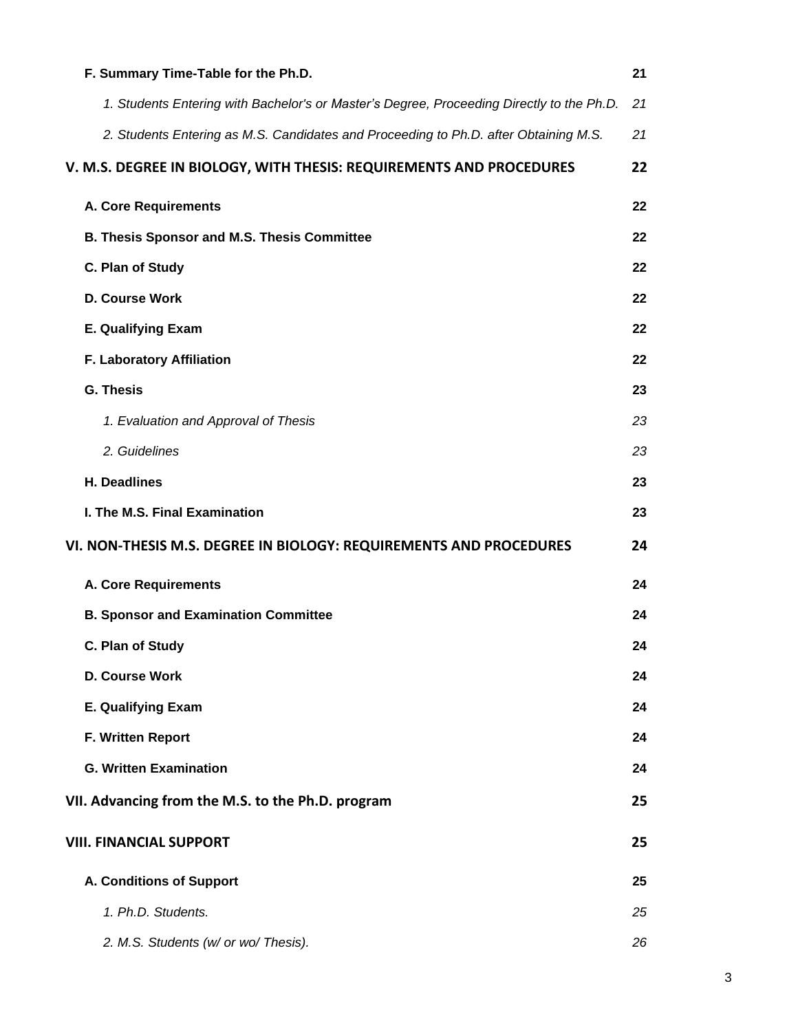| F. Summary Time-Table for the Ph.D.                                                       | 21 |
|-------------------------------------------------------------------------------------------|----|
| 1. Students Entering with Bachelor's or Master's Degree, Proceeding Directly to the Ph.D. | 21 |
| 2. Students Entering as M.S. Candidates and Proceeding to Ph.D. after Obtaining M.S.      | 21 |
| V. M.S. DEGREE IN BIOLOGY, WITH THESIS: REQUIREMENTS AND PROCEDURES                       | 22 |
| <b>A. Core Requirements</b>                                                               | 22 |
| <b>B. Thesis Sponsor and M.S. Thesis Committee</b>                                        | 22 |
| C. Plan of Study                                                                          | 22 |
| D. Course Work                                                                            | 22 |
| <b>E. Qualifying Exam</b>                                                                 | 22 |
| F. Laboratory Affiliation                                                                 | 22 |
| <b>G. Thesis</b>                                                                          | 23 |
| 1. Evaluation and Approval of Thesis                                                      | 23 |
| 2. Guidelines                                                                             | 23 |
| H. Deadlines                                                                              | 23 |
| I. The M.S. Final Examination                                                             | 23 |
| VI. NON-THESIS M.S. DEGREE IN BIOLOGY: REQUIREMENTS AND PROCEDURES                        | 24 |
| <b>A. Core Requirements</b>                                                               | 24 |
| <b>B. Sponsor and Examination Committee</b>                                               | 24 |
| C. Plan of Study                                                                          | 24 |
| D. Course Work                                                                            | 24 |
| <b>E. Qualifying Exam</b>                                                                 | 24 |
| F. Written Report                                                                         | 24 |
| <b>G. Written Examination</b>                                                             | 24 |
| VII. Advancing from the M.S. to the Ph.D. program                                         | 25 |
| <b>VIII. FINANCIAL SUPPORT</b>                                                            | 25 |
| A. Conditions of Support                                                                  | 25 |
| 1. Ph.D. Students.                                                                        | 25 |
| 2. M.S. Students (w/ or wo/ Thesis).                                                      | 26 |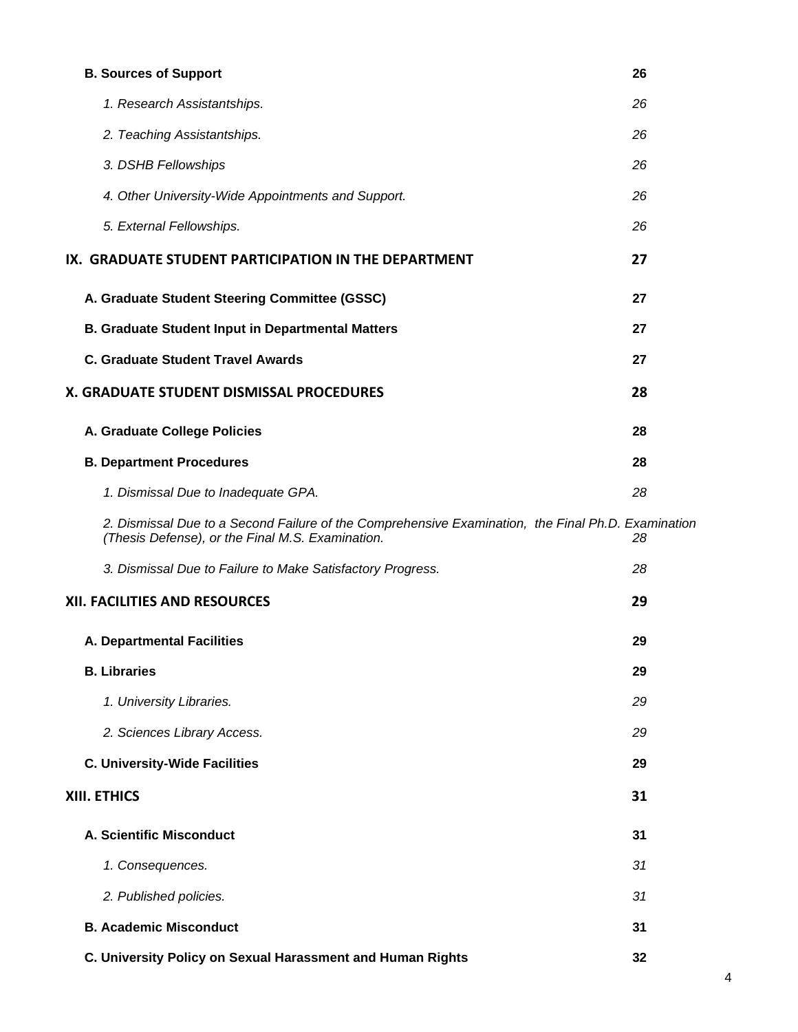| <b>B. Sources of Support</b>                                                                                                                           | 26 |
|--------------------------------------------------------------------------------------------------------------------------------------------------------|----|
| 1. Research Assistantships.                                                                                                                            | 26 |
| 2. Teaching Assistantships.                                                                                                                            | 26 |
| 3. DSHB Fellowships                                                                                                                                    | 26 |
| 4. Other University-Wide Appointments and Support.                                                                                                     | 26 |
| 5. External Fellowships.                                                                                                                               | 26 |
| IX. GRADUATE STUDENT PARTICIPATION IN THE DEPARTMENT                                                                                                   | 27 |
| A. Graduate Student Steering Committee (GSSC)                                                                                                          | 27 |
| <b>B. Graduate Student Input in Departmental Matters</b>                                                                                               | 27 |
| <b>C. Graduate Student Travel Awards</b>                                                                                                               | 27 |
| X. GRADUATE STUDENT DISMISSAL PROCEDURES                                                                                                               | 28 |
| A. Graduate College Policies                                                                                                                           | 28 |
| <b>B. Department Procedures</b>                                                                                                                        | 28 |
| 1. Dismissal Due to Inadequate GPA.                                                                                                                    | 28 |
| 2. Dismissal Due to a Second Failure of the Comprehensive Examination, the Final Ph.D. Examination<br>(Thesis Defense), or the Final M.S. Examination. | 28 |
| 3. Dismissal Due to Failure to Make Satisfactory Progress.                                                                                             | 28 |
| <b>XII. FACILITIES AND RESOURCES</b>                                                                                                                   | 29 |
| <b>A. Departmental Facilities</b>                                                                                                                      | 29 |
| <b>B.</b> Libraries                                                                                                                                    | 29 |
| 1. University Libraries.                                                                                                                               | 29 |
| 2. Sciences Library Access.                                                                                                                            | 29 |
| <b>C. University-Wide Facilities</b>                                                                                                                   | 29 |
| XIII. ETHICS                                                                                                                                           | 31 |
| A. Scientific Misconduct                                                                                                                               | 31 |
| 1. Consequences.                                                                                                                                       | 31 |
| 2. Published policies.                                                                                                                                 | 31 |
| <b>B. Academic Misconduct</b>                                                                                                                          | 31 |
| C. University Policy on Sexual Harassment and Human Rights                                                                                             | 32 |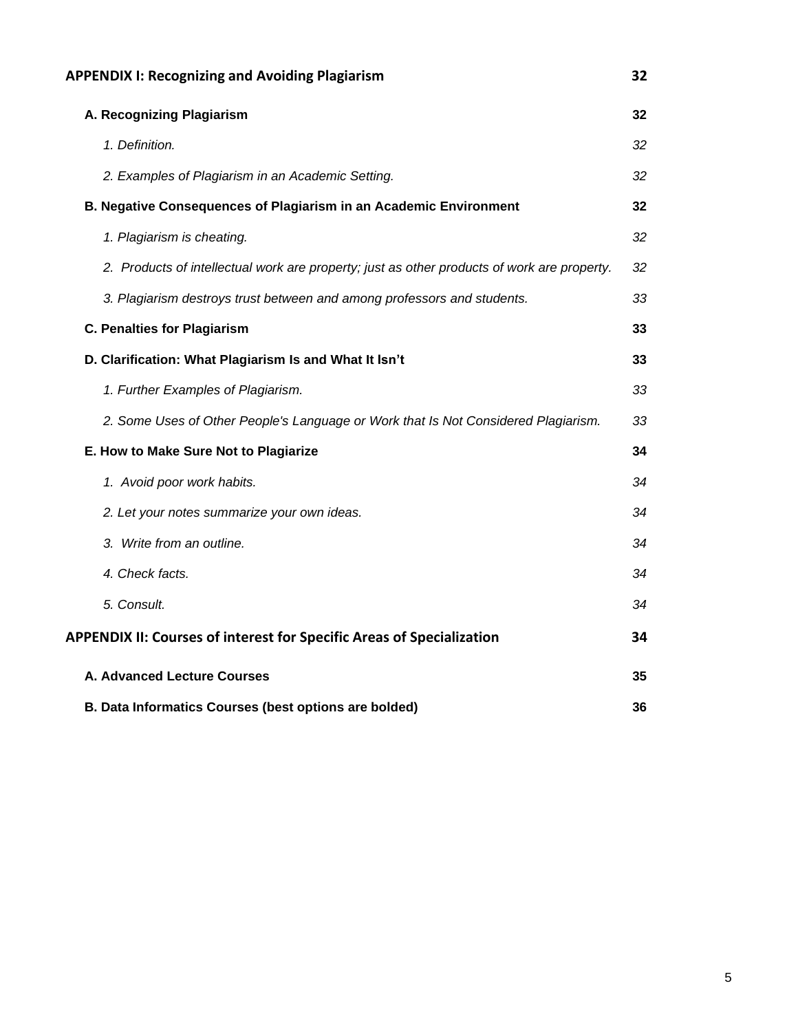| <b>APPENDIX I: Recognizing and Avoiding Plagiarism</b>                                      | 32 |
|---------------------------------------------------------------------------------------------|----|
| A. Recognizing Plagiarism                                                                   | 32 |
| 1. Definition.                                                                              | 32 |
| 2. Examples of Plagiarism in an Academic Setting.                                           | 32 |
| B. Negative Consequences of Plagiarism in an Academic Environment                           | 32 |
| 1. Plagiarism is cheating.                                                                  | 32 |
| 2. Products of intellectual work are property; just as other products of work are property. | 32 |
| 3. Plagiarism destroys trust between and among professors and students.                     | 33 |
| <b>C. Penalties for Plagiarism</b>                                                          | 33 |
| D. Clarification: What Plagiarism Is and What It Isn't                                      | 33 |
| 1. Further Examples of Plagiarism.                                                          | 33 |
| 2. Some Uses of Other People's Language or Work that Is Not Considered Plagiarism.          | 33 |
| E. How to Make Sure Not to Plagiarize                                                       | 34 |
| 1. Avoid poor work habits.                                                                  | 34 |
| 2. Let your notes summarize your own ideas.                                                 | 34 |
| 3. Write from an outline.                                                                   | 34 |
| 4. Check facts.                                                                             | 34 |
| 5. Consult.                                                                                 | 34 |
| <b>APPENDIX II: Courses of interest for Specific Areas of Specialization</b>                | 34 |
| A. Advanced Lecture Courses                                                                 | 35 |
| B. Data Informatics Courses (best options are bolded)                                       | 36 |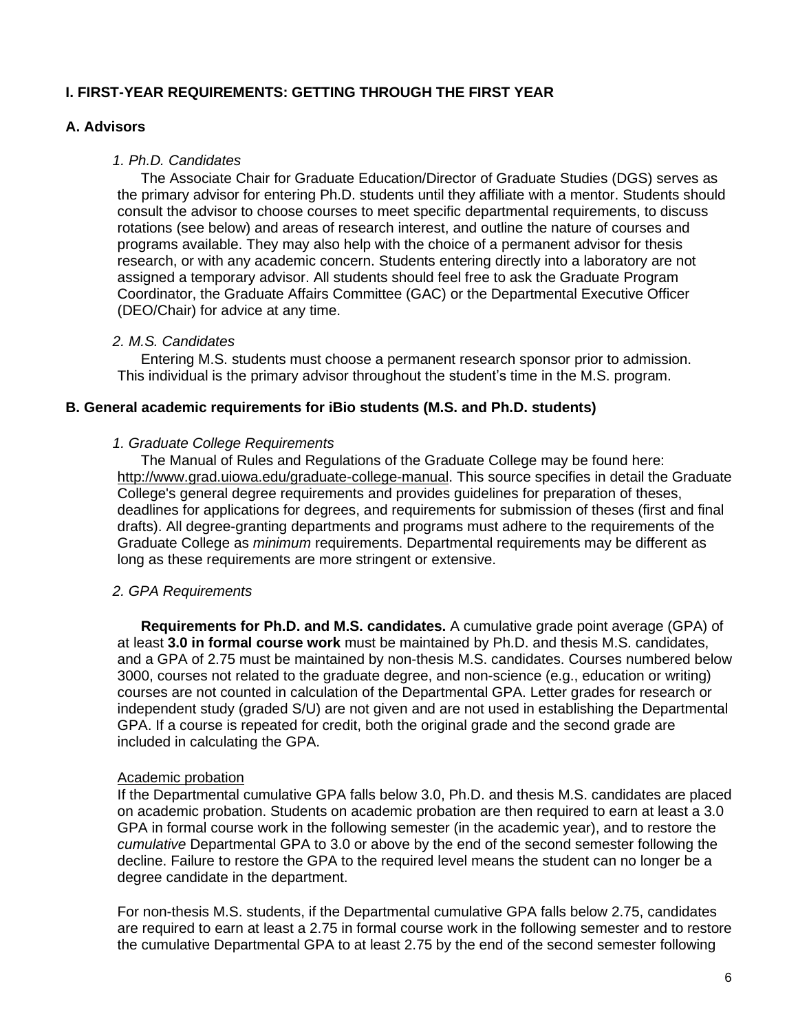# <span id="page-5-0"></span>**I. FIRST-YEAR REQUIREMENTS: GETTING THROUGH THE FIRST YEAR**

## <span id="page-5-1"></span>**A. Advisors**

#### <span id="page-5-2"></span>*1. Ph.D. Candidates*

The Associate Chair for Graduate Education/Director of Graduate Studies (DGS) serves as the primary advisor for entering Ph.D. students until they affiliate with a mentor. Students should consult the advisor to choose courses to meet specific departmental requirements, to discuss rotations (see below) and areas of research interest, and outline the nature of courses and programs available. They may also help with the choice of a permanent advisor for thesis research, or with any academic concern. Students entering directly into a laboratory are not assigned a temporary advisor. All students should feel free to ask the Graduate Program Coordinator, the Graduate Affairs Committee (GAC) or the Departmental Executive Officer (DEO/Chair) for advice at any time.

#### <span id="page-5-3"></span>*2. M.S. Candidates*

Entering M.S. students must choose a permanent research sponsor prior to admission. This individual is the primary advisor throughout the student's time in the M.S. program.

#### <span id="page-5-4"></span>**B. General academic requirements for iBio students (M.S. and Ph.D. students)**

#### <span id="page-5-5"></span>*1. Graduate College Requirements*

The Manual of Rules and Regulations of the Graduate College may be found here: [http://www.grad.uiowa.edu/graduate-college-manual.](http://www.grad.uiowa.edu/graduate-college-manual) This source specifies in detail the Graduate College's general degree requirements and provides guidelines for preparation of theses, deadlines for applications for degrees, and requirements for submission of theses (first and final drafts). All degree-granting departments and programs must adhere to the requirements of the Graduate College as *minimum* requirements. Departmental requirements may be different as long as these requirements are more stringent or extensive.

#### <span id="page-5-6"></span>*2. GPA Requirements*

**Requirements for Ph.D. and M.S. candidates.** A cumulative grade point average (GPA) of at least **3.0 in formal course work** must be maintained by Ph.D. and thesis M.S. candidates, and a GPA of 2.75 must be maintained by non-thesis M.S. candidates. Courses numbered below 3000, courses not related to the graduate degree, and non-science (e.g., education or writing) courses are not counted in calculation of the Departmental GPA. Letter grades for research or independent study (graded S/U) are not given and are not used in establishing the Departmental GPA. If a course is repeated for credit, both the original grade and the second grade are included in calculating the GPA.

#### Academic probation

If the Departmental cumulative GPA falls below 3.0, Ph.D. and thesis M.S. candidates are placed on academic probation. Students on academic probation are then required to earn at least a 3.0 GPA in formal course work in the following semester (in the academic year), and to restore the *cumulative* Departmental GPA to 3.0 or above by the end of the second semester following the decline. Failure to restore the GPA to the required level means the student can no longer be a degree candidate in the department.

For non-thesis M.S. students, if the Departmental cumulative GPA falls below 2.75, candidates are required to earn at least a 2.75 in formal course work in the following semester and to restore the cumulative Departmental GPA to at least 2.75 by the end of the second semester following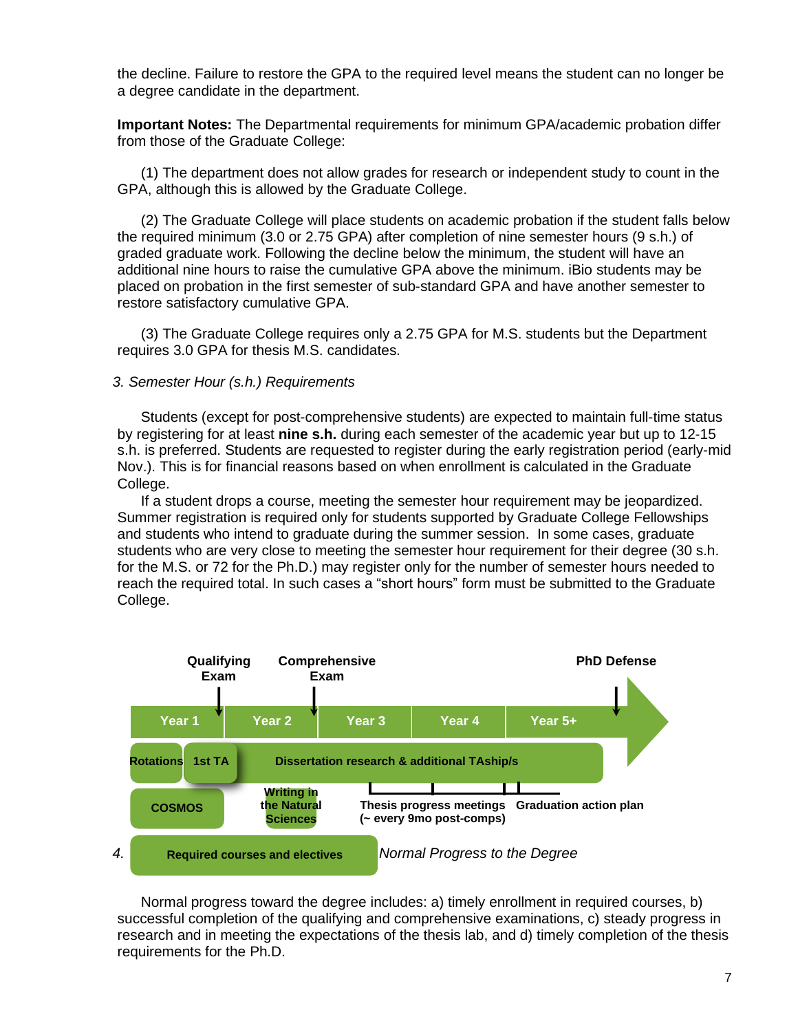the decline. Failure to restore the GPA to the required level means the student can no longer be a degree candidate in the department.

**Important Notes:** The Departmental requirements for minimum GPA/academic probation differ from those of the Graduate College:

(1) The department does not allow grades for research or independent study to count in the GPA, although this is allowed by the Graduate College.

(2) The Graduate College will place students on academic probation if the student falls below the required minimum (3.0 or 2.75 GPA) after completion of nine semester hours (9 s.h.) of graded graduate work. Following the decline below the minimum, the student will have an additional nine hours to raise the cumulative GPA above the minimum. iBio students may be placed on probation in the first semester of sub-standard GPA and have another semester to restore satisfactory cumulative GPA.

(3) The Graduate College requires only a 2.75 GPA for M.S. students but the Department requires 3.0 GPA for thesis M.S. candidates.

#### <span id="page-6-0"></span>*3. Semester Hour (s.h.) Requirements*

Students (except for post-comprehensive students) are expected to maintain full-time status by registering for at least **nine s.h.** during each semester of the academic year but up to 12-15 s.h. is preferred. Students are requested to register during the early registration period (early-mid Nov.). This is for financial reasons based on when enrollment is calculated in the Graduate College.

If a student drops a course, meeting the semester hour requirement may be jeopardized. Summer registration is required only for students supported by Graduate College Fellowships and students who intend to graduate during the summer session. In some cases, graduate students who are very close to meeting the semester hour requirement for their degree (30 s.h. for the M.S. or 72 for the Ph.D.) may register only for the number of semester hours needed to reach the required total. In such cases a "short hours" form must be submitted to the Graduate College.



<span id="page-6-1"></span>Normal progress toward the degree includes: a) timely enrollment in required courses, b) successful completion of the qualifying and comprehensive examinations, c) steady progress in research and in meeting the expectations of the thesis lab, and d) timely completion of the thesis requirements for the Ph.D.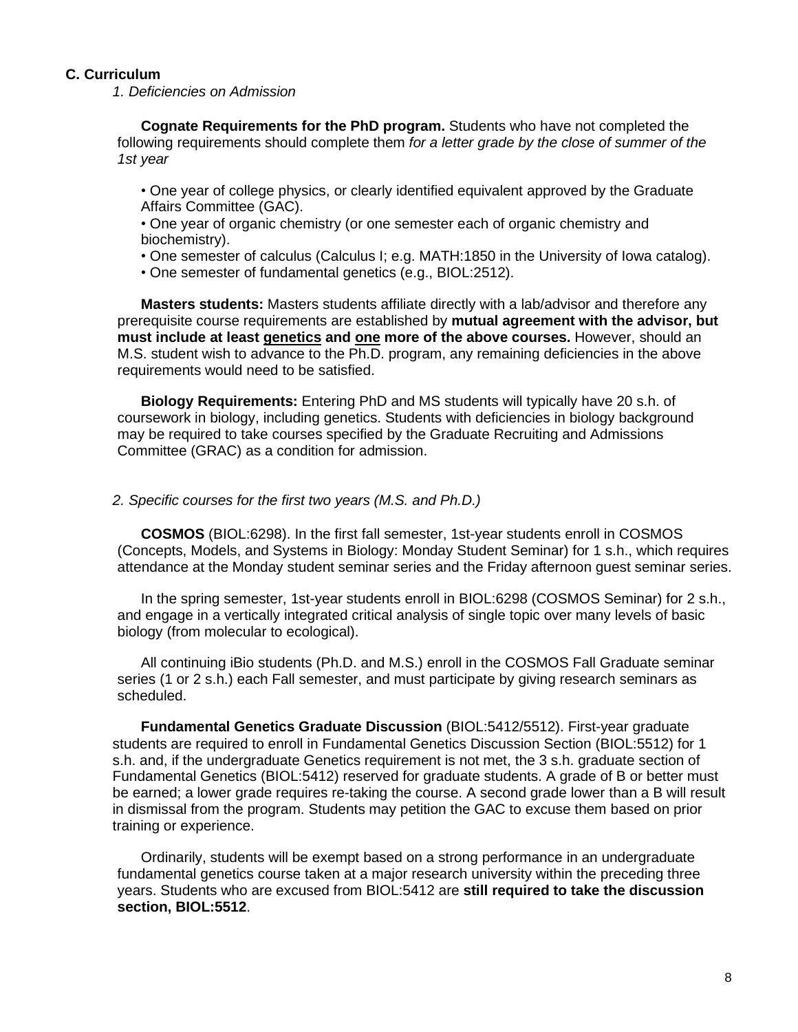## <span id="page-7-0"></span>**C. Curriculum**

<span id="page-7-1"></span>*1. Deficiencies on Admission*

**Cognate Requirements for the PhD program.** Students who have not completed the following requirements should complete them *for a letter grade by the close of summer of the 1st year*

• One year of college physics, or clearly identified equivalent approved by the Graduate Affairs Committee (GAC).

• One year of organic chemistry (or one semester each of organic chemistry and biochemistry).

• One semester of calculus (Calculus I; e.g. MATH:1850 in the University of Iowa catalog).

• One semester of fundamental genetics (e.g., BIOL:2512).

**Masters students:** Masters students affiliate directly with a lab/advisor and therefore any prerequisite course requirements are established by **mutual agreement with the advisor, but must include at least genetics and one more of the above courses.** However, should an M.S. student wish to advance to the Ph.D. program, any remaining deficiencies in the above requirements would need to be satisfied.

**Biology Requirements:** Entering PhD and MS students will typically have 20 s.h. of coursework in biology, including genetics. Students with deficiencies in biology background may be required to take courses specified by the Graduate Recruiting and Admissions Committee (GRAC) as a condition for admission.

#### <span id="page-7-2"></span>*2. Specific courses for the first two years (M.S. and Ph.D.)*

**COSMOS** (BIOL:6298). In the first fall semester, 1st-year students enroll in COSMOS (Concepts, Models, and Systems in Biology: Monday Student Seminar) for 1 s.h., which requires attendance at the Monday student seminar series and the Friday afternoon guest seminar series.

In the spring semester, 1st-year students enroll in BIOL:6298 (COSMOS Seminar) for 2 s.h., and engage in a vertically integrated critical analysis of single topic over many levels of basic biology (from molecular to ecological).

All continuing iBio students (Ph.D. and M.S.) enroll in the COSMOS Fall Graduate seminar series (1 or 2 s.h.) each Fall semester, and must participate by giving research seminars as scheduled.

**Fundamental Genetics Graduate Discussion** (BIOL:5412/5512). First-year graduate students are required to enroll in Fundamental Genetics Discussion Section (BIOL:5512) for 1 s.h. and, if the undergraduate Genetics requirement is not met, the 3 s.h. graduate section of Fundamental Genetics (BIOL:5412) reserved for graduate students. A grade of B or better must be earned; a lower grade requires re-taking the course. A second grade lower than a B will result in dismissal from the program. Students may petition the GAC to excuse them based on prior training or experience.

Ordinarily, students will be exempt based on a strong performance in an undergraduate fundamental genetics course taken at a major research university within the preceding three years. Students who are excused from BIOL:5412 are **still required to take the discussion section, BIOL:5512**.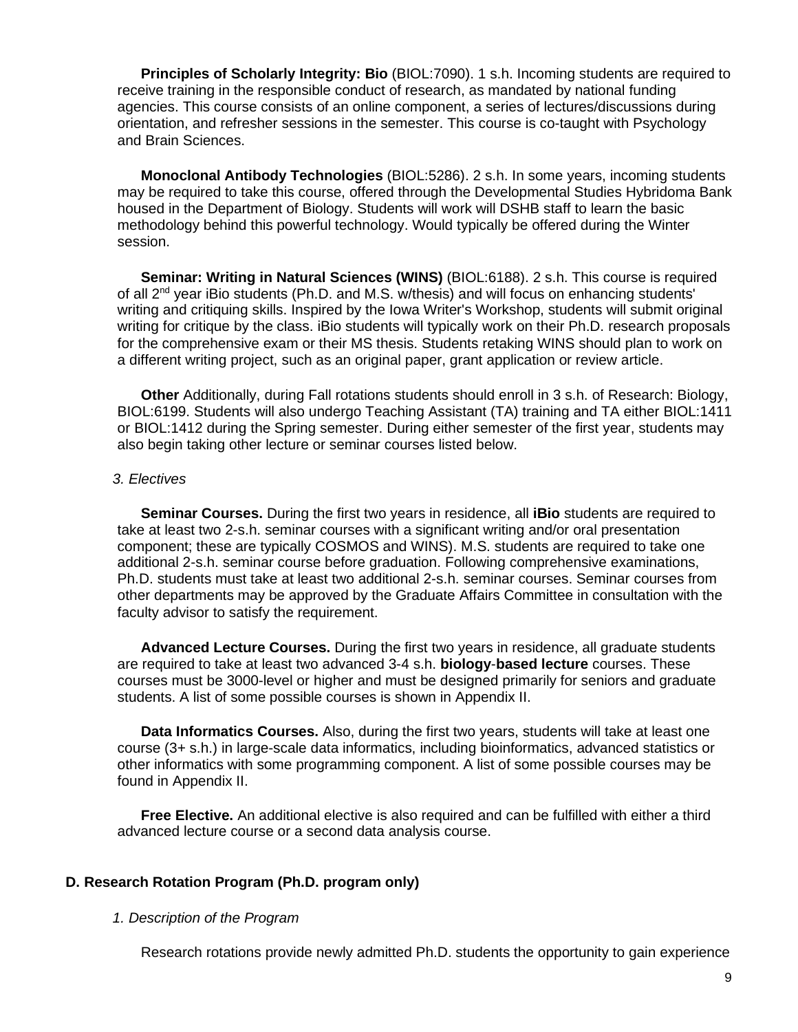**Principles of Scholarly Integrity: Bio** (BIOL:7090). 1 s.h. Incoming students are required to receive training in the responsible conduct of research, as mandated by national funding agencies. This course consists of an online component, a series of lectures/discussions during orientation, and refresher sessions in the semester. This course is co-taught with Psychology and Brain Sciences.

**Monoclonal Antibody Technologies** (BIOL:5286). 2 s.h. In some years, incoming students may be required to take this course, offered through the Developmental Studies Hybridoma Bank housed in the Department of Biology. Students will work will DSHB staff to learn the basic methodology behind this powerful technology. Would typically be offered during the Winter session.

**Seminar: Writing in Natural Sciences (WINS)** (BIOL:6188). 2 s.h. This course is required of all 2<sup>nd</sup> year iBio students (Ph.D. and M.S. w/thesis) and will focus on enhancing students' writing and critiquing skills. Inspired by the Iowa Writer's Workshop, students will submit original writing for critique by the class. iBio students will typically work on their Ph.D. research proposals for the comprehensive exam or their MS thesis. Students retaking WINS should plan to work on a different writing project, such as an original paper, grant application or review article.

**Other** Additionally, during Fall rotations students should enroll in 3 s.h. of Research: Biology, BIOL:6199. Students will also undergo Teaching Assistant (TA) training and TA either BIOL:1411 or BIOL:1412 during the Spring semester. During either semester of the first year, students may also begin taking other lecture or seminar courses listed below.

## <span id="page-8-0"></span>*3. Electives*

**Seminar Courses.** During the first two years in residence, all **iBio** students are required to take at least two 2-s.h. seminar courses with a significant writing and/or oral presentation component; these are typically COSMOS and WINS). M.S. students are required to take one additional 2-s.h. seminar course before graduation. Following comprehensive examinations, Ph.D. students must take at least two additional 2-s.h. seminar courses. Seminar courses from other departments may be approved by the Graduate Affairs Committee in consultation with the faculty advisor to satisfy the requirement.

**Advanced Lecture Courses.** During the first two years in residence, all graduate students are required to take at least two advanced 3-4 s.h. **biology**-**based lecture** courses. These courses must be 3000-level or higher and must be designed primarily for seniors and graduate students. A list of some possible courses is shown in Appendix II.

**Data Informatics Courses.** Also, during the first two years, students will take at least one course (3+ s.h.) in large-scale data informatics, including bioinformatics, advanced statistics or other informatics with some programming component. A list of some possible courses may be found in Appendix II.

**Free Elective.** An additional elective is also required and can be fulfilled with either a third advanced lecture course or a second data analysis course.

## <span id="page-8-1"></span>**D. Research Rotation Program (Ph.D. program only)**

## <span id="page-8-2"></span>*1. Description of the Program*

Research rotations provide newly admitted Ph.D. students the opportunity to gain experience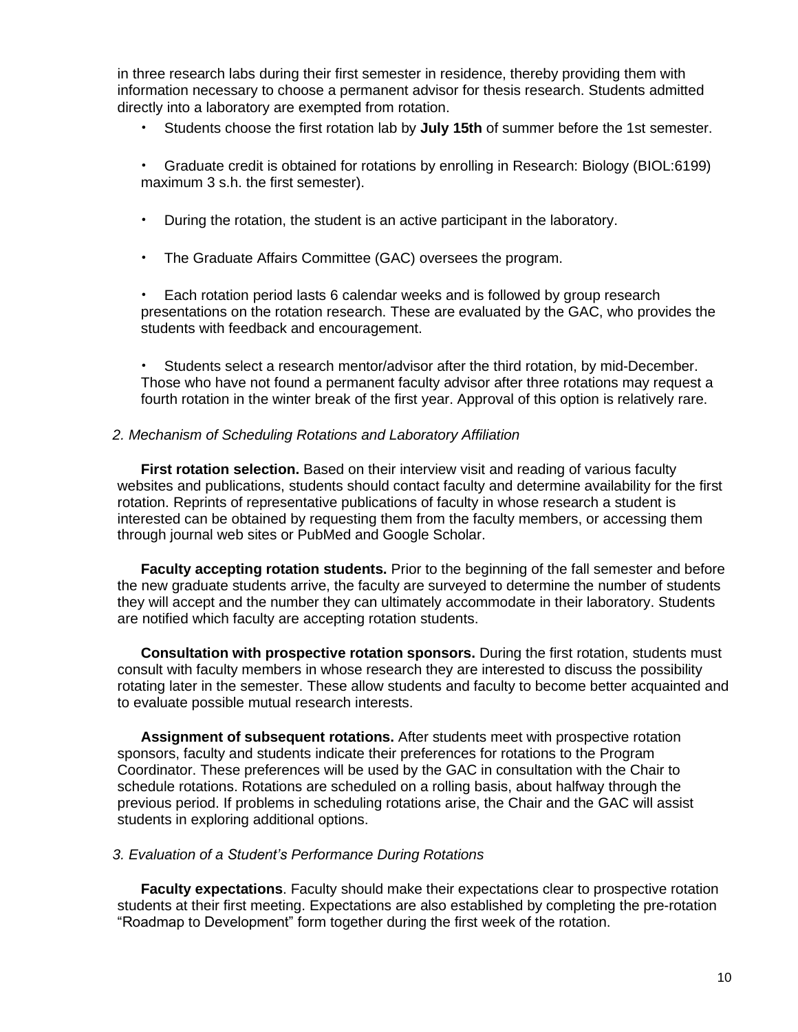in three research labs during their first semester in residence, thereby providing them with information necessary to choose a permanent advisor for thesis research. Students admitted directly into a laboratory are exempted from rotation.

- Students choose the first rotation lab by **July 15th** of summer before the 1st semester.
- Graduate credit is obtained for rotations by enrolling in Research: Biology (BIOL:6199) maximum 3 s.h. the first semester).
- During the rotation, the student is an active participant in the laboratory.
- The Graduate Affairs Committee (GAC) oversees the program.

• Each rotation period lasts 6 calendar weeks and is followed by group research presentations on the rotation research. These are evaluated by the GAC, who provides the students with feedback and encouragement.

• Students select a research mentor/advisor after the third rotation, by mid-December. Those who have not found a permanent faculty advisor after three rotations may request a fourth rotation in the winter break of the first year. Approval of this option is relatively rare.

#### <span id="page-9-0"></span>*2. Mechanism of Scheduling Rotations and Laboratory Affiliation*

**First rotation selection.** Based on their interview visit and reading of various faculty websites and publications, students should contact faculty and determine availability for the first rotation. Reprints of representative publications of faculty in whose research a student is interested can be obtained by requesting them from the faculty members, or accessing them through journal web sites or PubMed and Google Scholar.

**Faculty accepting rotation students.** Prior to the beginning of the fall semester and before the new graduate students arrive, the faculty are surveyed to determine the number of students they will accept and the number they can ultimately accommodate in their laboratory. Students are notified which faculty are accepting rotation students.

**Consultation with prospective rotation sponsors.** During the first rotation, students must consult with faculty members in whose research they are interested to discuss the possibility rotating later in the semester. These allow students and faculty to become better acquainted and to evaluate possible mutual research interests.

**Assignment of subsequent rotations.** After students meet with prospective rotation sponsors, faculty and students indicate their preferences for rotations to the Program Coordinator. These preferences will be used by the GAC in consultation with the Chair to schedule rotations. Rotations are scheduled on a rolling basis, about halfway through the previous period. If problems in scheduling rotations arise, the Chair and the GAC will assist students in exploring additional options.

#### <span id="page-9-1"></span>*3. Evaluation of a Student's Performance During Rotations*

**Faculty expectations**. Faculty should make their expectations clear to prospective rotation students at their first meeting. Expectations are also established by completing the pre-rotation "Roadmap to Development" form together during the first week of the rotation.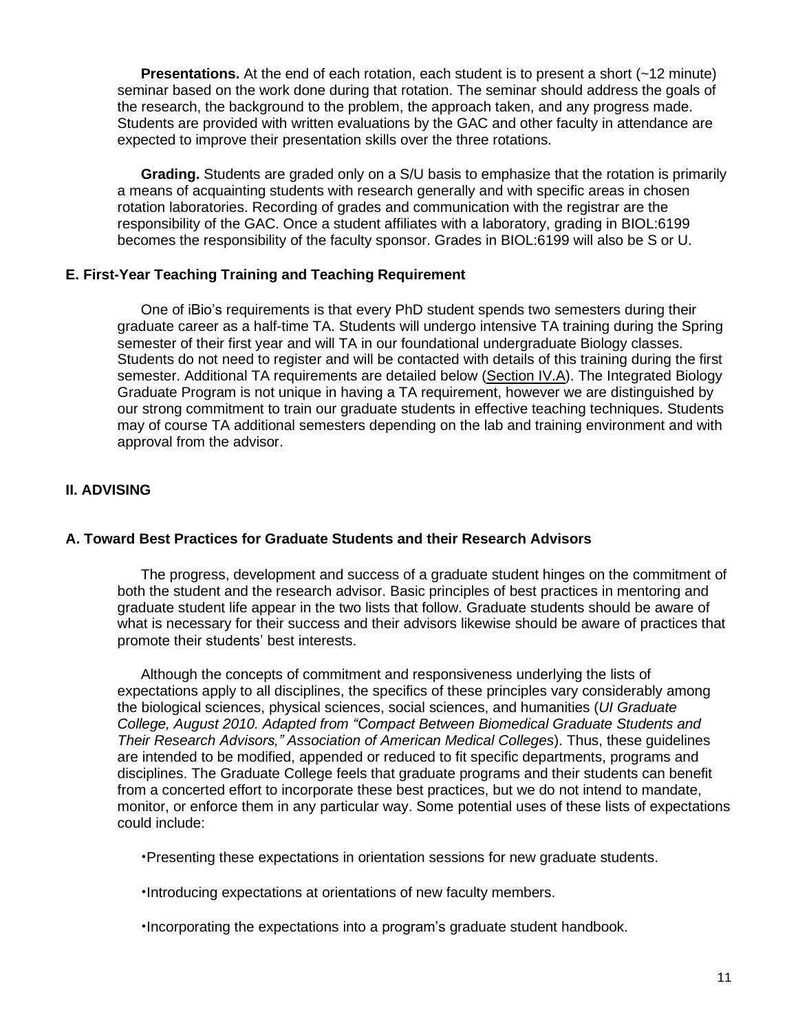**Presentations.** At the end of each rotation, each student is to present a short (~12 minute) seminar based on the work done during that rotation. The seminar should address the goals of the research, the background to the problem, the approach taken, and any progress made. Students are provided with written evaluations by the GAC and other faculty in attendance are expected to improve their presentation skills over the three rotations.

**Grading.** Students are graded only on a S/U basis to emphasize that the rotation is primarily a means of acquainting students with research generally and with specific areas in chosen rotation laboratories. Recording of grades and communication with the registrar are the responsibility of the GAC. Once a student affiliates with a laboratory, grading in BIOL:6199 becomes the responsibility of the faculty sponsor. Grades in BIOL:6199 will also be S or U.

## <span id="page-10-0"></span>**E. First-Year Teaching Training and Teaching Requirement**

One of iBio's requirements is that every PhD student spends two semesters during their graduate career as a half-time TA. Students will undergo intensive TA training during the Spring semester of their first year and will TA in our foundational undergraduate Biology classes. Students do not need to register and will be contacted with details of this training during the first semester. Additional TA requirements are detailed below [\(Section](#page-13-1) IV.A). The Integrated Biology Graduate Program is not unique in having a TA requirement, however we are distinguished by our strong commitment to train our graduate students in effective teaching techniques. Students may of course TA additional semesters depending on the lab and training environment and with approval from the advisor.

# <span id="page-10-1"></span>**II. ADVISING**

## <span id="page-10-2"></span>**A. Toward Best Practices for Graduate Students and their Research Advisors**

The progress, development and success of a graduate student hinges on the commitment of both the student and the research advisor. Basic principles of best practices in mentoring and graduate student life appear in the two lists that follow. Graduate students should be aware of what is necessary for their success and their advisors likewise should be aware of practices that promote their students' best interests.

Although the concepts of commitment and responsiveness underlying the lists of expectations apply to all disciplines, the specifics of these principles vary considerably among the biological sciences, physical sciences, social sciences, and humanities (*UI Graduate College, August 2010. Adapted from "Compact Between Biomedical Graduate Students and Their Research Advisors," Association of American Medical Colleges*). Thus, these guidelines are intended to be modified, appended or reduced to fit specific departments, programs and disciplines. The Graduate College feels that graduate programs and their students can benefit from a concerted effort to incorporate these best practices, but we do not intend to mandate, monitor, or enforce them in any particular way. Some potential uses of these lists of expectations could include:

•Presenting these expectations in orientation sessions for new graduate students.

•Introducing expectations at orientations of new faculty members.

•Incorporating the expectations into a program's graduate student handbook.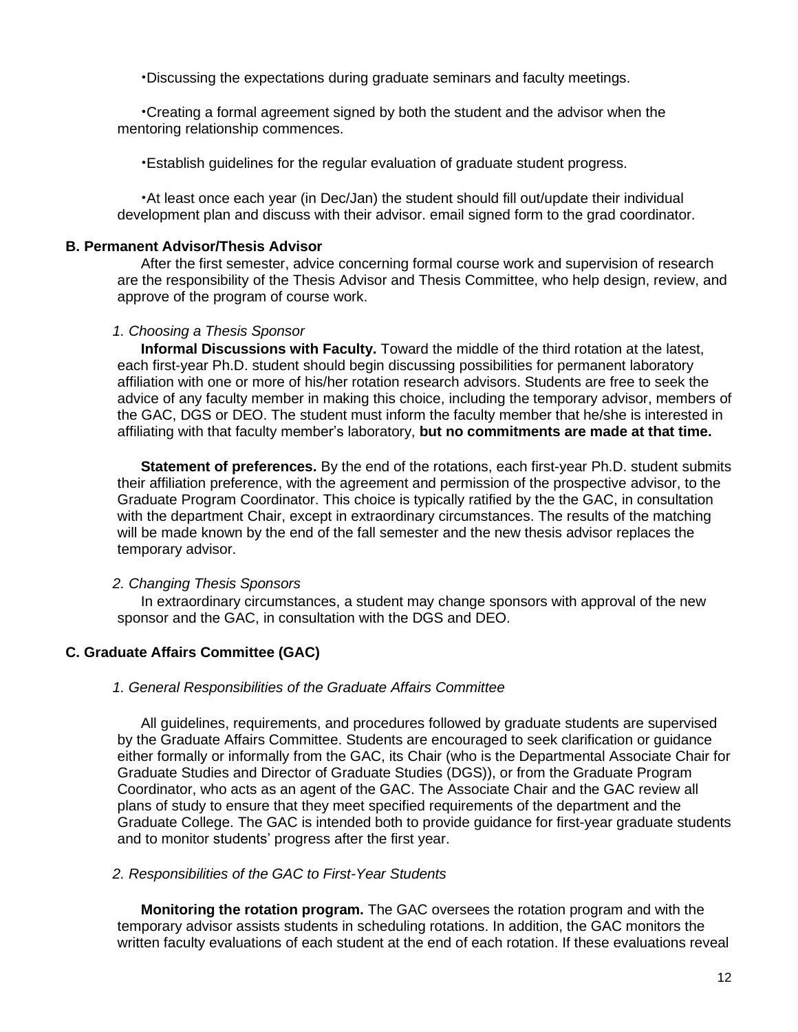•Discussing the expectations during graduate seminars and faculty meetings.

•Creating a formal agreement signed by both the student and the advisor when the mentoring relationship commences.

•Establish guidelines for the regular evaluation of graduate student progress.

•At least once each year (in Dec/Jan) the student should fill out/update their individual development plan and discuss with their advisor. email signed form to the grad coordinator.

#### <span id="page-11-0"></span>**B. Permanent Advisor/Thesis Advisor**

After the first semester, advice concerning formal course work and supervision of research are the responsibility of the Thesis Advisor and Thesis Committee, who help design, review, and approve of the program of course work.

#### <span id="page-11-1"></span>*1. Choosing a Thesis Sponsor*

**Informal Discussions with Faculty.** Toward the middle of the third rotation at the latest, each first-year Ph.D. student should begin discussing possibilities for permanent laboratory affiliation with one or more of his/her rotation research advisors. Students are free to seek the advice of any faculty member in making this choice, including the temporary advisor, members of the GAC, DGS or DEO. The student must inform the faculty member that he/she is interested in affiliating with that faculty member's laboratory, **but no commitments are made at that time.**

**Statement of preferences.** By the end of the rotations, each first-year Ph.D. student submits their affiliation preference, with the agreement and permission of the prospective advisor, to the Graduate Program Coordinator. This choice is typically ratified by the the GAC, in consultation with the department Chair, except in extraordinary circumstances. The results of the matching will be made known by the end of the fall semester and the new thesis advisor replaces the temporary advisor.

## <span id="page-11-2"></span>*2. Changing Thesis Sponsors*

In extraordinary circumstances, a student may change sponsors with approval of the new sponsor and the GAC, in consultation with the DGS and DEO.

#### <span id="page-11-3"></span>**C. Graduate Affairs Committee (GAC)**

#### <span id="page-11-4"></span>*1. General Responsibilities of the Graduate Affairs Committee*

All guidelines, requirements, and procedures followed by graduate students are supervised by the Graduate Affairs Committee. Students are encouraged to seek clarification or guidance either formally or informally from the GAC, its Chair (who is the Departmental Associate Chair for Graduate Studies and Director of Graduate Studies (DGS)), or from the Graduate Program Coordinator, who acts as an agent of the GAC. The Associate Chair and the GAC review all plans of study to ensure that they meet specified requirements of the department and the Graduate College. The GAC is intended both to provide guidance for first-year graduate students and to monitor students' progress after the first year.

#### <span id="page-11-5"></span>*2. Responsibilities of the GAC to First-Year Students*

**Monitoring the rotation program.** The GAC oversees the rotation program and with the temporary advisor assists students in scheduling rotations. In addition, the GAC monitors the written faculty evaluations of each student at the end of each rotation. If these evaluations reveal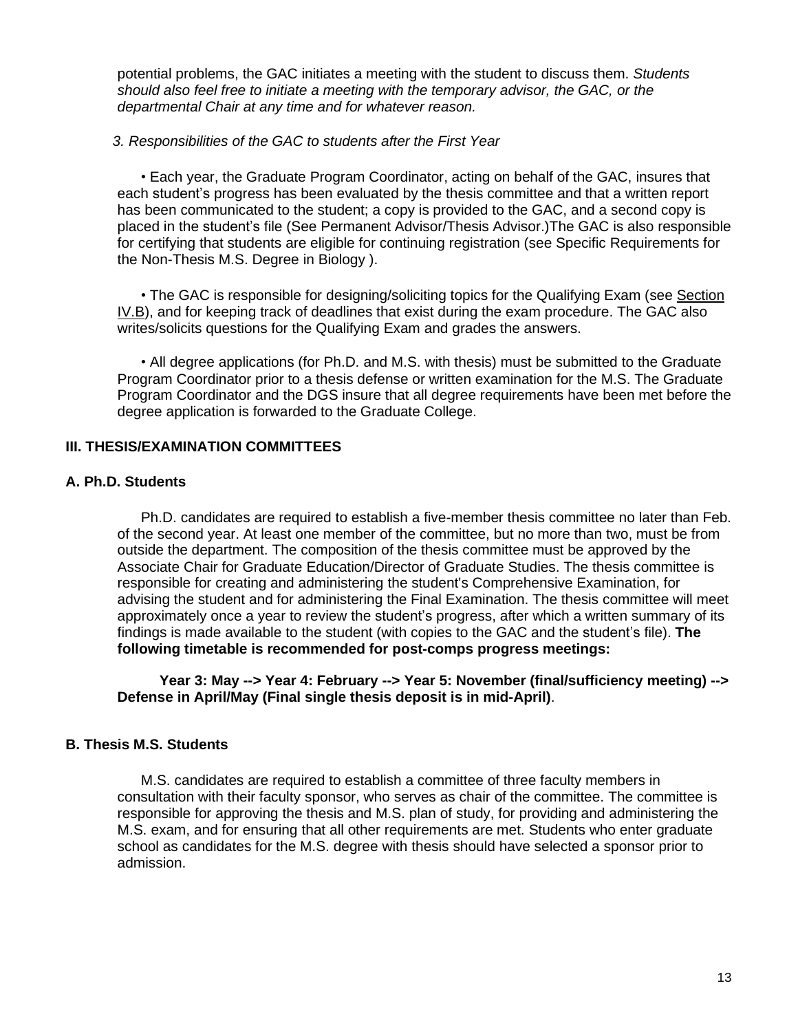potential problems, the GAC initiates a meeting with the student to discuss them. *Students should also feel free to initiate a meeting with the temporary advisor, the GAC, or the departmental Chair at any time and for whatever reason.*

## <span id="page-12-0"></span>*3. Responsibilities of the GAC to students after the First Year*

• Each year, the Graduate Program Coordinator, acting on behalf of the GAC, insures that each student's progress has been evaluated by the thesis committee and that a written report has been communicated to the student; a copy is provided to the GAC, and a second copy is placed in the student's file (See Permanent [Advisor/Thesis](http://livepage.apple.com/) Advisor.)The GAC is also responsible for certifying that students are eligible for continuing registration (see Specific [Requirements](http://livepage.apple.com/) [for](http://livepage.apple.com/) the [Non-Thesis](http://livepage.apple.com/) M.S. Degree in Biology ).

• The GAC is responsible for designing/soliciting topics for the Qualifying Exam (see Section IV.B), and for keeping track of deadlines that exist during the exam procedure. The GAC also writes/solicits questions for the Qualifying Exam and grades the answers.

• All degree applications (for Ph.D. and M.S. with thesis) must be submitted to the Graduate Program Coordinator prior to a thesis defense or written examination for the M.S. The Graduate Program Coordinator and the DGS insure that all degree requirements have been met before the degree application is forwarded to the Graduate College.

## <span id="page-12-1"></span>**III. THESIS/EXAMINATION COMMITTEES**

## <span id="page-12-2"></span>**A. Ph.D. Students**

Ph.D. candidates are required to establish a five-member thesis committee no later than Feb. of the second year. At least one member of the committee, but no more than two, must be from outside the department. The composition of the thesis committee must be approved by the Associate Chair for Graduate Education/Director of Graduate Studies. The thesis committee is responsible for creating and administering the student's Comprehensive Examination, for advising the student and for administering the Final Examination. The thesis committee will meet approximately once a year to review the student's progress, after which a written summary of its findings is made available to the student (with copies to the GAC and the student's file). **The following timetable is recommended for post-comps progress meetings:**

**Year 3: May --> Year 4: February --> Year 5: November (final/sufficiency meeting) --> Defense in April/May (Final single thesis deposit is in mid-April)**.

## <span id="page-12-3"></span>**B. Thesis M.S. Students**

M.S. candidates are required to establish a committee of three faculty members in consultation with their faculty sponsor, who serves as chair of the committee. The committee is responsible for approving the thesis and M.S. plan of study, for providing and administering the M.S. exam, and for ensuring that all other requirements are met. Students who enter graduate school as candidates for the M.S. degree with thesis should have selected a sponsor prior to admission.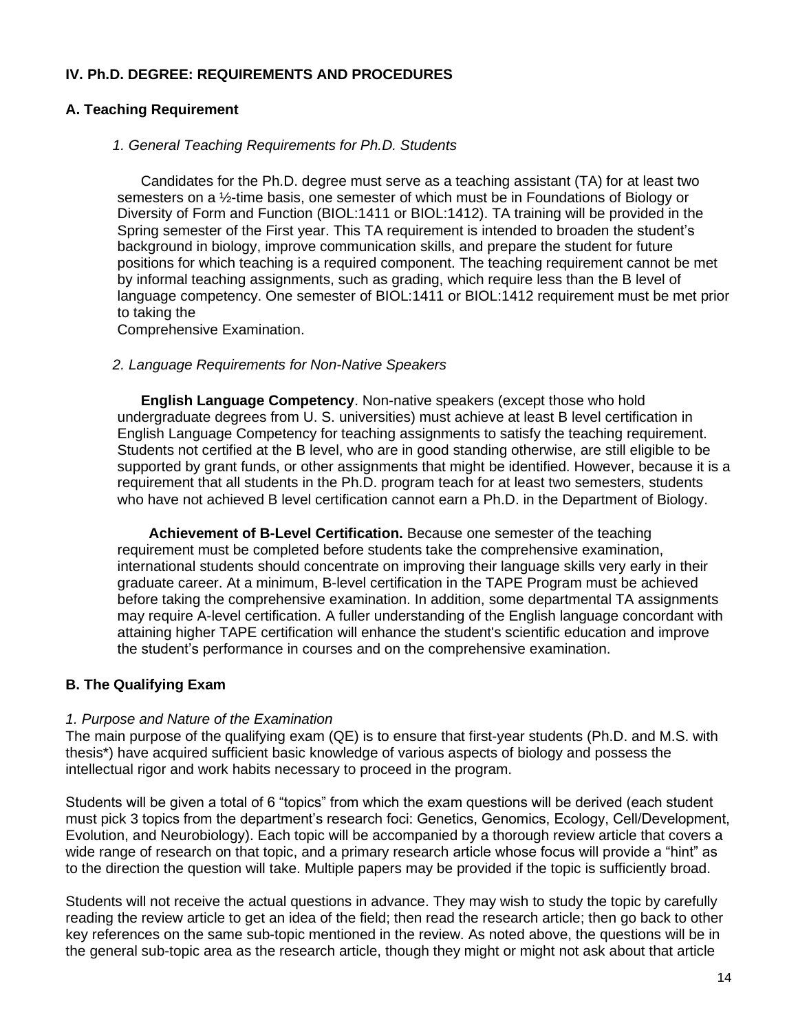## <span id="page-13-0"></span>**IV. Ph.D. DEGREE: REQUIREMENTS AND PROCEDURES**

# <span id="page-13-1"></span>**A. Teaching Requirement**

## <span id="page-13-2"></span>*1. General Teaching Requirements for Ph.D. Students*

Candidates for the Ph.D. degree must serve as a teaching assistant (TA) for at least two semesters on a ½-time basis, one semester of which must be in Foundations of Biology or Diversity of Form and Function (BIOL:1411 or BIOL:1412). TA training will be provided in the Spring semester of the First year. This TA requirement is intended to broaden the student's background in biology, improve communication skills, and prepare the student for future positions for which teaching is a required component. The teaching requirement cannot be met by informal teaching assignments, such as grading, which require less than the B level of language competency. One semester of BIOL:1411 or BIOL:1412 requirement must be met prior to taking the

Comprehensive Examination.

## <span id="page-13-3"></span>*2. Language Requirements for Non-Native Speakers*

**English Language Competency**. Non-native speakers (except those who hold undergraduate degrees from U. S. universities) must achieve at least B level certification in English Language Competency for teaching assignments to satisfy the teaching requirement. Students not certified at the B level, who are in good standing otherwise, are still eligible to be supported by grant funds, or other assignments that might be identified. However, because it is a requirement that all students in the Ph.D. program teach for at least two semesters, students who have not achieved B level certification cannot earn a Ph.D. in the Department of Biology.

 **Achievement of B-Level Certification.** Because one semester of the teaching requirement must be completed before students take the comprehensive examination, international students should concentrate on improving their language skills very early in their graduate career. At a minimum, B-level certification in the TAPE Program must be achieved before taking the comprehensive examination. In addition, some departmental TA assignments may require A-level certification. A fuller understanding of the English language concordant with attaining higher TAPE certification will enhance the student's scientific education and improve the student's performance in courses and on the comprehensive examination.

# <span id="page-13-4"></span>**B. The Qualifying Exam**

## <span id="page-13-5"></span>*1. Purpose and Nature of the Examination*

The main purpose of the qualifying exam (QE) is to ensure that first-year students (Ph.D. and M.S. with thesis\*) have acquired sufficient basic knowledge of various aspects of biology and possess the intellectual rigor and work habits necessary to proceed in the program.

Students will be given a total of 6 "topics" from which the exam questions will be derived (each student must pick 3 topics from the department's research foci: Genetics, Genomics, Ecology, Cell/Development, Evolution, and Neurobiology). Each topic will be accompanied by a thorough review article that covers a wide range of research on that topic, and a primary research article whose focus will provide a "hint" as to the direction the question will take. Multiple papers may be provided if the topic is sufficiently broad.

Students will not receive the actual questions in advance. They may wish to study the topic by carefully reading the review article to get an idea of the field; then read the research article; then go back to other key references on the same sub-topic mentioned in the review. As noted above, the questions will be in the general sub-topic area as the research article, though they might or might not ask about that article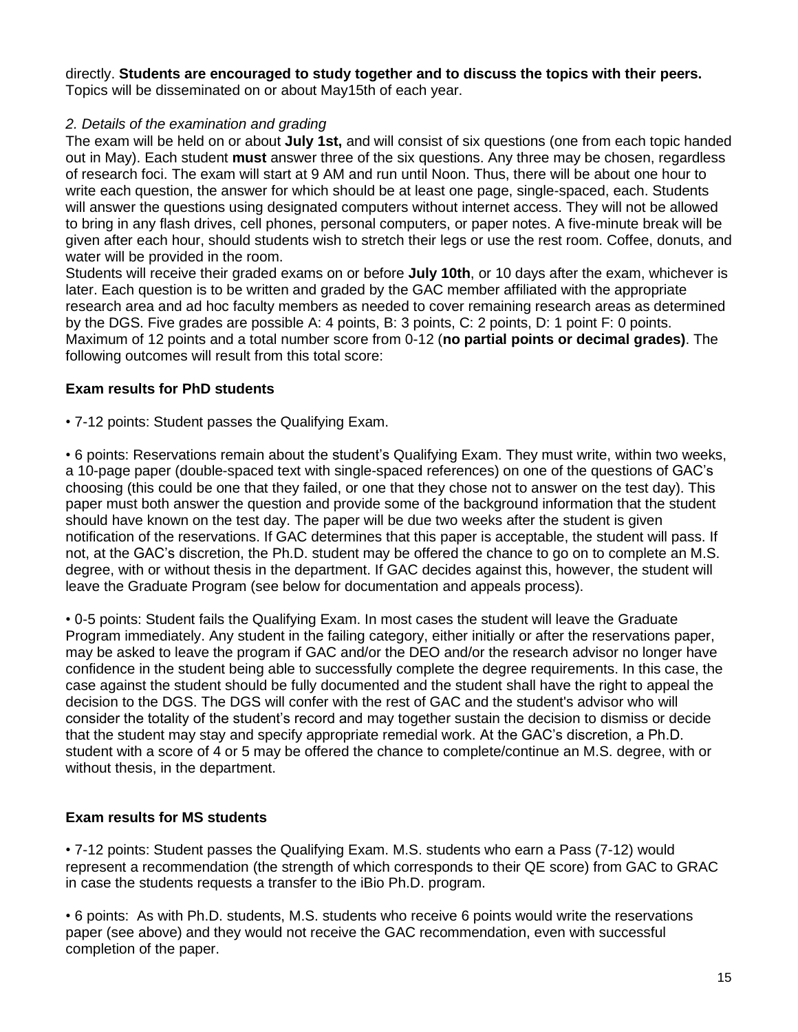# directly. **Students are encouraged to study together and to discuss the topics with their peers.**

Topics will be disseminated on or about May15th of each year.

## <span id="page-14-0"></span>*2. Details of the examination and grading*

The exam will be held on or about **July 1st,** and will consist of six questions (one from each topic handed out in May). Each student **must** answer three of the six questions. Any three may be chosen, regardless of research foci. The exam will start at 9 AM and run until Noon. Thus, there will be about one hour to write each question, the answer for which should be at least one page, single-spaced, each. Students will answer the questions using designated computers without internet access. They will not be allowed to bring in any flash drives, cell phones, personal computers, or paper notes. A five-minute break will be given after each hour, should students wish to stretch their legs or use the rest room. Coffee, donuts, and water will be provided in the room.

Students will receive their graded exams on or before **July 10th**, or 10 days after the exam, whichever is later. Each question is to be written and graded by the GAC member affiliated with the appropriate research area and ad hoc faculty members as needed to cover remaining research areas as determined by the DGS. Five grades are possible A: 4 points, B: 3 points, C: 2 points, D: 1 point F: 0 points. Maximum of 12 points and a total number score from 0-12 (**no partial points or decimal grades)**. The following outcomes will result from this total score:

## **Exam results for PhD students**

• 7-12 points: Student passes the Qualifying Exam.

• 6 points: Reservations remain about the student's Qualifying Exam. They must write, within two weeks, a 10-page paper (double-spaced text with single-spaced references) on one of the questions of GAC's choosing (this could be one that they failed, or one that they chose not to answer on the test day). This paper must both answer the question and provide some of the background information that the student should have known on the test day. The paper will be due two weeks after the student is given notification of the reservations. If GAC determines that this paper is acceptable, the student will pass. If not, at the GAC's discretion, the Ph.D. student may be offered the chance to go on to complete an M.S. degree, with or without thesis in the department. If GAC decides against this, however, the student will leave the Graduate Program (see below for documentation and appeals process).

• 0-5 points: Student fails the Qualifying Exam. In most cases the student will leave the Graduate Program immediately. Any student in the failing category, either initially or after the reservations paper, may be asked to leave the program if GAC and/or the DEO and/or the research advisor no longer have confidence in the student being able to successfully complete the degree requirements. In this case, the case against the student should be fully documented and the student shall have the right to appeal the decision to the DGS. The DGS will confer with the rest of GAC and the student's advisor who will consider the totality of the student's record and may together sustain the decision to dismiss or decide that the student may stay and specify appropriate remedial work. At the GAC's discretion, a Ph.D. student with a score of 4 or 5 may be offered the chance to complete/continue an M.S. degree, with or without thesis, in the department.

## **Exam results for MS students**

• 7-12 points: Student passes the Qualifying Exam. M.S. students who earn a Pass (7-12) would represent a recommendation (the strength of which corresponds to their QE score) from GAC to GRAC in case the students requests a transfer to the iBio Ph.D. program.

• 6 points: As with Ph.D. students, M.S. students who receive 6 points would write the reservations paper (see above) and they would not receive the GAC recommendation, even with successful completion of the paper.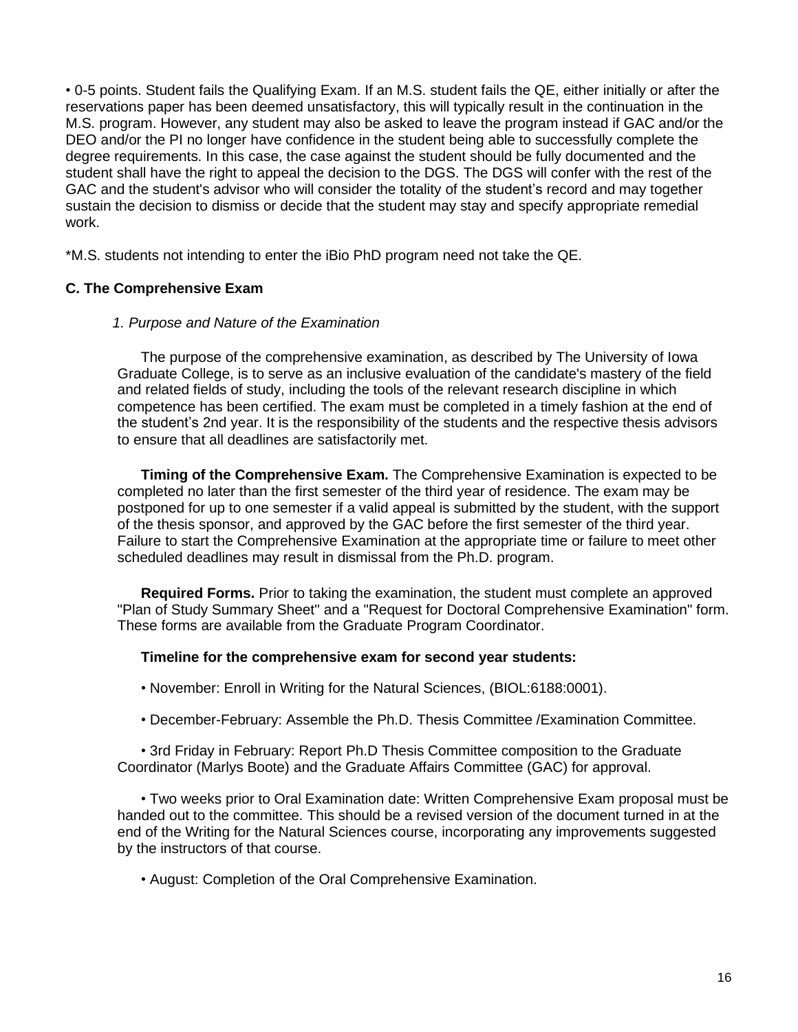• 0-5 points. Student fails the Qualifying Exam. If an M.S. student fails the QE, either initially or after the reservations paper has been deemed unsatisfactory, this will typically result in the continuation in the M.S. program. However, any student may also be asked to leave the program instead if GAC and/or the DEO and/or the PI no longer have confidence in the student being able to successfully complete the degree requirements. In this case, the case against the student should be fully documented and the student shall have the right to appeal the decision to the DGS. The DGS will confer with the rest of the GAC and the student's advisor who will consider the totality of the student's record and may together sustain the decision to dismiss or decide that the student may stay and specify appropriate remedial work.

\*M.S. students not intending to enter the iBio PhD program need not take the QE.

## <span id="page-15-0"></span>**C. The Comprehensive Exam**

#### <span id="page-15-1"></span>*1. Purpose and Nature of the Examination*

The purpose of the comprehensive examination, as described by The University of Iowa Graduate College, is to serve as an inclusive evaluation of the candidate's mastery of the field and related fields of study, including the tools of the relevant research discipline in which competence has been certified. The exam must be completed in a timely fashion at the end of the student's 2nd year. It is the responsibility of the students and the respective thesis advisors to ensure that all deadlines are satisfactorily met.

**Timing of the Comprehensive Exam.** The Comprehensive Examination is expected to be completed no later than the first semester of the third year of residence. The exam may be postponed for up to one semester if a valid appeal is submitted by the student, with the support of the thesis sponsor, and approved by the GAC before the first semester of the third year. Failure to start the Comprehensive Examination at the appropriate time or failure to meet other scheduled deadlines may result in dismissal from the Ph.D. program.

**Required Forms.** Prior to taking the examination, the student must complete an approved "Plan of Study Summary Sheet" and a "Request for Doctoral Comprehensive Examination" form. These forms are available from the Graduate Program Coordinator.

#### **Timeline for the comprehensive exam for second year students:**

- November: Enroll in Writing for the Natural Sciences, (BIOL:6188:0001).
- December-February: Assemble the Ph.D. Thesis Committee /Examination Committee.

• 3rd Friday in February: Report Ph.D Thesis Committee composition to the Graduate Coordinator (Marlys Boote) and the Graduate Affairs Committee (GAC) for approval.

• Two weeks prior to Oral Examination date: Written Comprehensive Exam proposal must be handed out to the committee. This should be a revised version of the document turned in at the end of the Writing for the Natural Sciences course, incorporating any improvements suggested by the instructors of that course.

• August: Completion of the Oral Comprehensive Examination.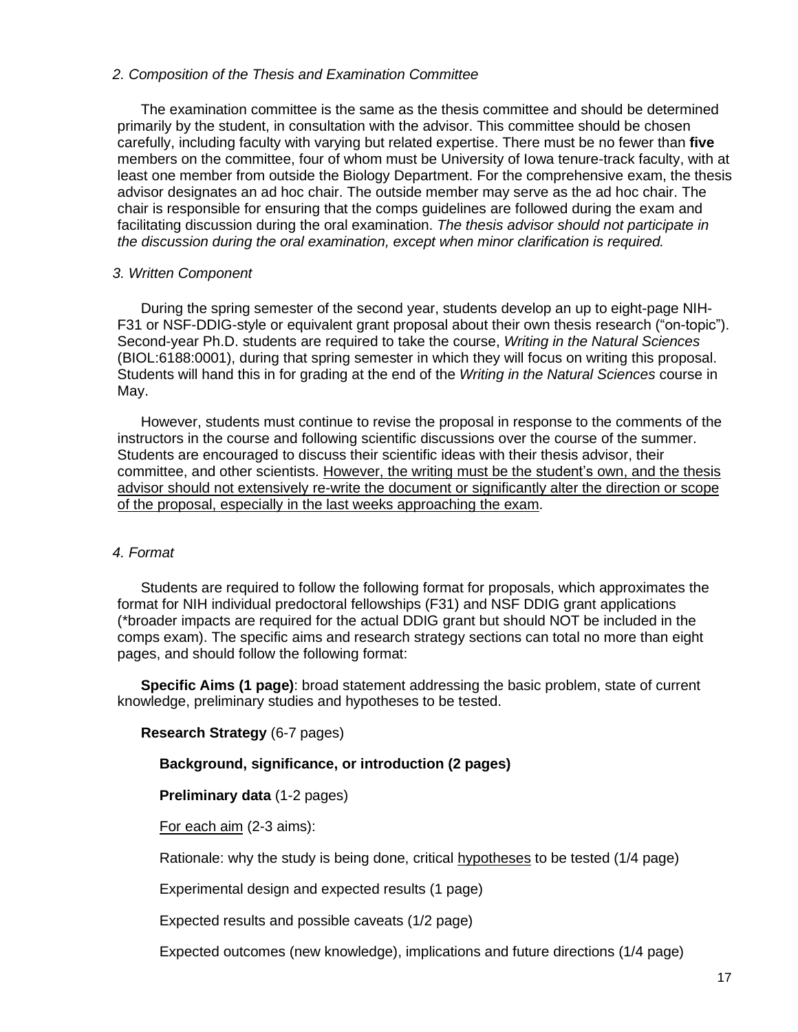#### <span id="page-16-0"></span>*2. Composition of the Thesis and Examination Committee*

The examination committee is the same as the thesis committee and should be determined primarily by the student, in consultation with the advisor. This committee should be chosen carefully, including faculty with varying but related expertise. There must be no fewer than **five** members on the committee, four of whom must be University of Iowa tenure-track faculty, with at least one member from outside the Biology Department. For the comprehensive exam, the thesis advisor designates an ad hoc chair. The outside member may serve as the ad hoc chair. The chair is responsible for ensuring that the comps guidelines are followed during the exam and facilitating discussion during the oral examination. *The thesis advisor should not participate in the discussion during the oral examination, except when minor clarification is required.*

## <span id="page-16-1"></span>*3. Written Component*

During the spring semester of the second year, students develop an up to eight-page NIH-F31 or NSF-DDIG-style or equivalent grant proposal about their own thesis research ("on-topic"). Second-year Ph.D. students are required to take the course, *Writing in the Natural Sciences* (BIOL:6188:0001), during that spring semester in which they will focus on writing this proposal. Students will hand this in for grading at the end of the *Writing in the Natural Sciences* course in May.

However, students must continue to revise the proposal in response to the comments of the instructors in the course and following scientific discussions over the course of the summer. Students are encouraged to discuss their scientific ideas with their thesis advisor, their committee, and other scientists. However, the writing must be the student's own, and the thesis advisor should not extensively re-write the document or significantly alter the direction or scope of the proposal, especially in the last weeks approaching the exam.

## <span id="page-16-2"></span>*4. Format*

Students are required to follow the following format for proposals, which approximates the format for NIH individual predoctoral fellowships (F31) and NSF DDIG grant applications (\*broader impacts are required for the actual DDIG grant but should NOT be included in the comps exam). The specific aims and research strategy sections can total no more than eight pages, and should follow the following format:

**Specific Aims (1 page)**: broad statement addressing the basic problem, state of current knowledge, preliminary studies and hypotheses to be tested.

## **Research Strategy** (6-7 pages)

## **Background, significance, or introduction (2 pages)**

**Preliminary data** (1-2 pages)

For each aim (2-3 aims):

Rationale: why the study is being done, critical hypotheses to be tested (1/4 page)

Experimental design and expected results (1 page)

Expected results and possible caveats (1/2 page)

Expected outcomes (new knowledge), implications and future directions (1/4 page)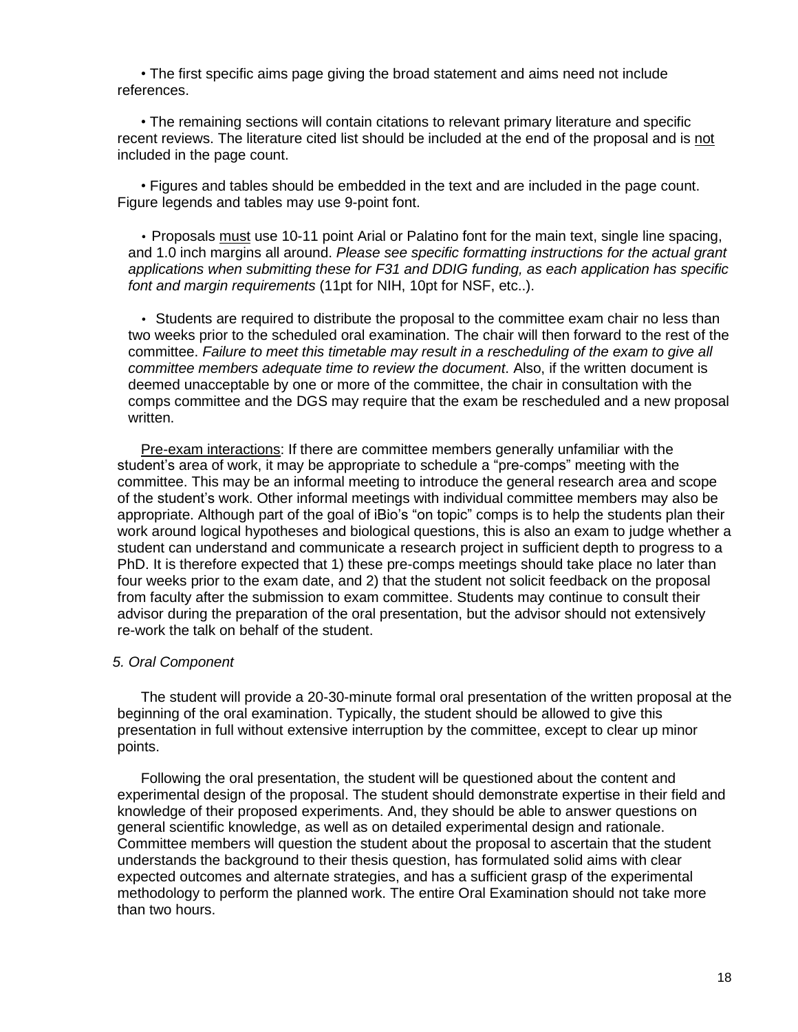• The first specific aims page giving the broad statement and aims need not include references.

• The remaining sections will contain citations to relevant primary literature and specific recent reviews. The literature cited list should be included at the end of the proposal and is not included in the page count.

• Figures and tables should be embedded in the text and are included in the page count. Figure legends and tables may use 9-point font.

• Proposals must use 10-11 point Arial or Palatino font for the main text, single line spacing, and 1.0 inch margins all around. *Please see specific formatting instructions for the actual grant applications when submitting these for F31 and DDIG funding, as each application has specific font and margin requirements* (11pt for NIH, 10pt for NSF, etc..).

• Students are required to distribute the proposal to the committee exam chair no less than two weeks prior to the scheduled oral examination. The chair will then forward to the rest of the committee. *Failure to meet this timetable may result in a rescheduling of the exam to give all committee members adequate time to review the document*. Also, if the written document is deemed unacceptable by one or more of the committee, the chair in consultation with the comps committee and the DGS may require that the exam be rescheduled and a new proposal written.

Pre-exam interactions: If there are committee members generally unfamiliar with the student's area of work, it may be appropriate to schedule a "pre-comps" meeting with the committee. This may be an informal meeting to introduce the general research area and scope of the student's work. Other informal meetings with individual committee members may also be appropriate. Although part of the goal of iBio's "on topic" comps is to help the students plan their work around logical hypotheses and biological questions, this is also an exam to judge whether a student can understand and communicate a research project in sufficient depth to progress to a PhD. It is therefore expected that 1) these pre-comps meetings should take place no later than four weeks prior to the exam date, and 2) that the student not solicit feedback on the proposal from faculty after the submission to exam committee. Students may continue to consult their advisor during the preparation of the oral presentation, but the advisor should not extensively re-work the talk on behalf of the student.

#### <span id="page-17-0"></span>*5. Oral Component*

The student will provide a 20-30-minute formal oral presentation of the written proposal at the beginning of the oral examination. Typically, the student should be allowed to give this presentation in full without extensive interruption by the committee, except to clear up minor points.

Following the oral presentation, the student will be questioned about the content and experimental design of the proposal. The student should demonstrate expertise in their field and knowledge of their proposed experiments. And, they should be able to answer questions on general scientific knowledge, as well as on detailed experimental design and rationale. Committee members will question the student about the proposal to ascertain that the student understands the background to their thesis question, has formulated solid aims with clear expected outcomes and alternate strategies, and has a sufficient grasp of the experimental methodology to perform the planned work. The entire Oral Examination should not take more than two hours.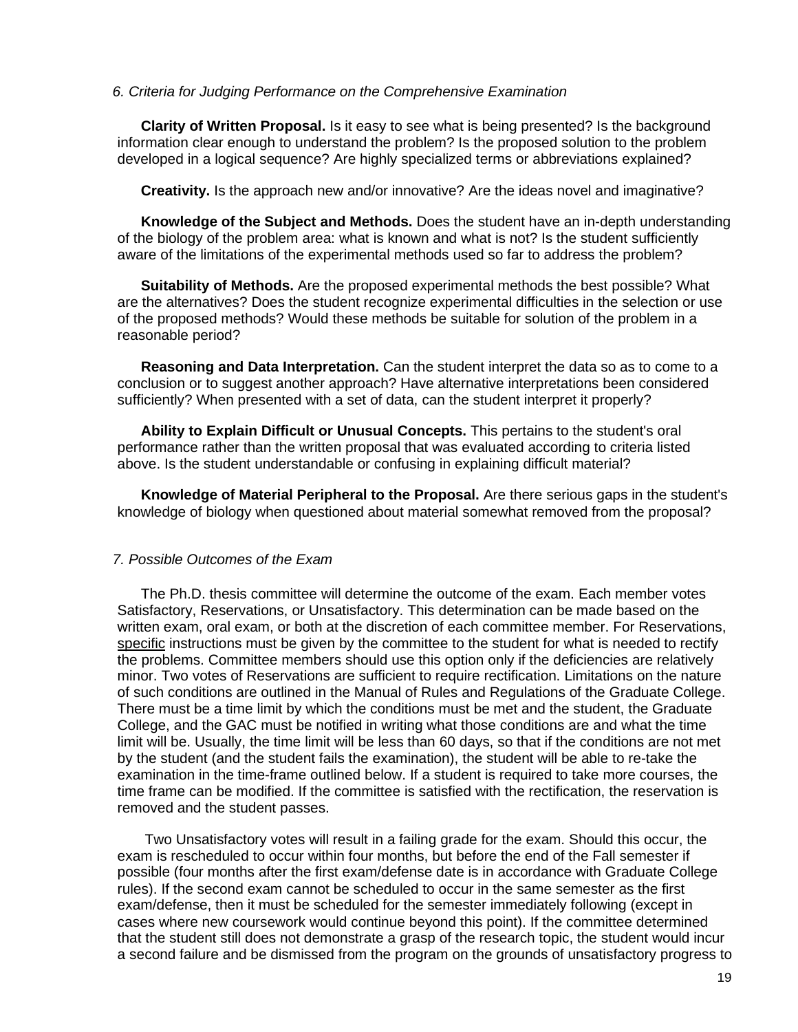#### <span id="page-18-0"></span>*6. Criteria for Judging Performance on the Comprehensive Examination*

**Clarity of Written Proposal.** Is it easy to see what is being presented? Is the background information clear enough to understand the problem? Is the proposed solution to the problem developed in a logical sequence? Are highly specialized terms or abbreviations explained?

**Creativity.** Is the approach new and/or innovative? Are the ideas novel and imaginative?

**Knowledge of the Subject and Methods.** Does the student have an in-depth understanding of the biology of the problem area: what is known and what is not? Is the student sufficiently aware of the limitations of the experimental methods used so far to address the problem?

**Suitability of Methods.** Are the proposed experimental methods the best possible? What are the alternatives? Does the student recognize experimental difficulties in the selection or use of the proposed methods? Would these methods be suitable for solution of the problem in a reasonable period?

**Reasoning and Data Interpretation.** Can the student interpret the data so as to come to a conclusion or to suggest another approach? Have alternative interpretations been considered sufficiently? When presented with a set of data, can the student interpret it properly?

**Ability to Explain Difficult or Unusual Concepts.** This pertains to the student's oral performance rather than the written proposal that was evaluated according to criteria listed above. Is the student understandable or confusing in explaining difficult material?

**Knowledge of Material Peripheral to the Proposal.** Are there serious gaps in the student's knowledge of biology when questioned about material somewhat removed from the proposal?

#### <span id="page-18-1"></span>*7. Possible Outcomes of the Exam*

The Ph.D. thesis committee will determine the outcome of the exam. Each member votes Satisfactory, Reservations, or Unsatisfactory. This determination can be made based on the written exam, oral exam, or both at the discretion of each committee member. For Reservations, specific instructions must be given by the committee to the student for what is needed to rectify the problems. Committee members should use this option only if the deficiencies are relatively minor. Two votes of Reservations are sufficient to require rectification. Limitations on the nature of such conditions are outlined in the Manual of Rules and Regulations of the Graduate College. There must be a time limit by which the conditions must be met and the student, the Graduate College, and the GAC must be notified in writing what those conditions are and what the time limit will be. Usually, the time limit will be less than 60 days, so that if the conditions are not met by the student (and the student fails the examination), the student will be able to re-take the examination in the time-frame outlined below. If a student is required to take more courses, the time frame can be modified. If the committee is satisfied with the rectification, the reservation is removed and the student passes.

Two Unsatisfactory votes will result in a failing grade for the exam. Should this occur, the exam is rescheduled to occur within four months, but before the end of the Fall semester if possible (four months after the first exam/defense date is in accordance with Graduate College rules). If the second exam cannot be scheduled to occur in the same semester as the first exam/defense, then it must be scheduled for the semester immediately following (except in cases where new coursework would continue beyond this point). If the committee determined that the student still does not demonstrate a grasp of the research topic, the student would incur a second failure and be dismissed from the program on the grounds of unsatisfactory progress to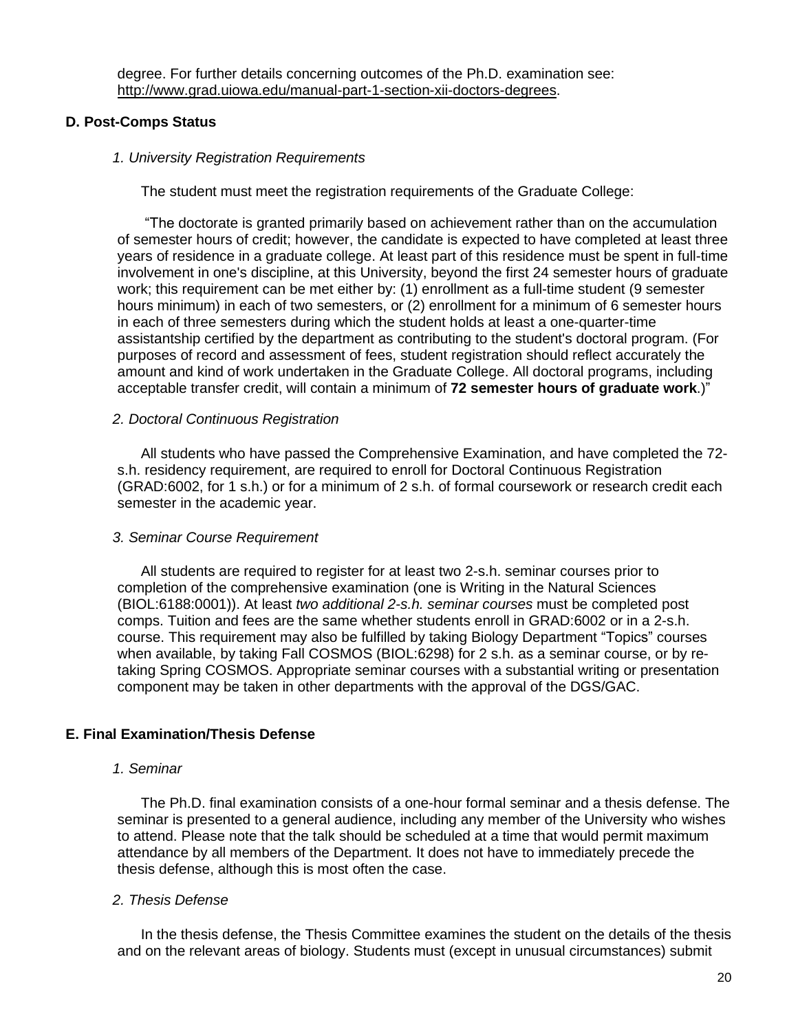degree. For further details concerning outcomes of the Ph.D. examination see: [http://www.grad.uiowa.edu/manual-part-1-section-xii-doctors-degrees.](http://www.grad.uiowa.edu/manual-part-1-section-xii-doctors-degrees)

## <span id="page-19-0"></span>**D. Post-Comps Status**

#### <span id="page-19-1"></span>*1. University Registration Requirements*

The student must meet the registration requirements of the Graduate College:

"The doctorate is granted primarily based on achievement rather than on the accumulation of semester hours of credit; however, the candidate is expected to have completed at least three years of residence in a graduate college. At least part of this residence must be spent in full-time involvement in one's discipline, at this University, beyond the first 24 semester hours of graduate work; this requirement can be met either by: (1) enrollment as a full-time student (9 semester hours minimum) in each of two semesters, or (2) enrollment for a minimum of 6 semester hours in each of three semesters during which the student holds at least a one-quarter-time assistantship certified by the department as contributing to the student's doctoral program. (For purposes of record and assessment of fees, student registration should reflect accurately the amount and kind of work undertaken in the Graduate College. All doctoral programs, including acceptable transfer credit, will contain a minimum of **72 semester hours of graduate work**.)"

#### <span id="page-19-2"></span>*2. Doctoral Continuous Registration*

All students who have passed the Comprehensive Examination, and have completed the 72 s.h. residency requirement, are required to enroll for Doctoral Continuous Registration (GRAD:6002, for 1 s.h.) or for a minimum of 2 s.h. of formal coursework or research credit each semester in the academic year.

#### <span id="page-19-3"></span>*3. Seminar Course Requirement*

All students are required to register for at least two 2-s.h. seminar courses prior to completion of the comprehensive examination (one is Writing in the Natural Sciences (BIOL:6188:0001)). At least *two additional 2-s.h. seminar courses* must be completed post comps. Tuition and fees are the same whether students enroll in GRAD:6002 or in a 2-s.h. course. This requirement may also be fulfilled by taking Biology Department "Topics" courses when available, by taking Fall COSMOS (BIOL:6298) for 2 s.h. as a seminar course, or by retaking Spring COSMOS. Appropriate seminar courses with a substantial writing or presentation component may be taken in other departments with the approval of the DGS/GAC.

#### <span id="page-19-4"></span>**E. Final Examination/Thesis Defense**

#### <span id="page-19-5"></span>*1. Seminar*

The Ph.D. final examination consists of a one-hour formal seminar and a thesis defense. The seminar is presented to a general audience, including any member of the University who wishes to attend. Please note that the talk should be scheduled at a time that would permit maximum attendance by all members of the Department. It does not have to immediately precede the thesis defense, although this is most often the case.

#### <span id="page-19-6"></span>*2. Thesis Defense*

In the thesis defense, the Thesis Committee examines the student on the details of the thesis and on the relevant areas of biology. Students must (except in unusual circumstances) submit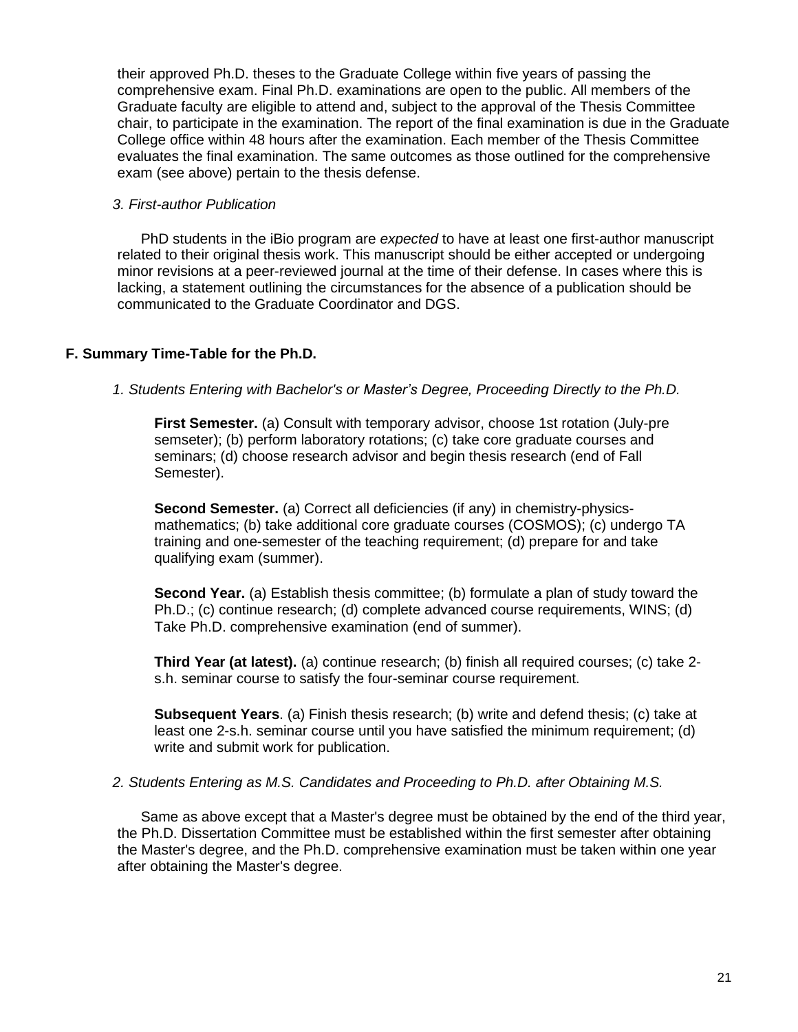their approved Ph.D. theses to the Graduate College within five years of passing the comprehensive exam. Final Ph.D. examinations are open to the public. All members of the Graduate faculty are eligible to attend and, subject to the approval of the Thesis Committee chair, to participate in the examination. The report of the final examination is due in the Graduate College office within 48 hours after the examination. Each member of the Thesis Committee evaluates the final examination. The same outcomes as those outlined for the comprehensive exam (see above) pertain to the thesis defense.

## <span id="page-20-0"></span>*3. First-author Publication*

PhD students in the iBio program are *expected* to have at least one first-author manuscript related to their original thesis work. This manuscript should be either accepted or undergoing minor revisions at a peer-reviewed journal at the time of their defense. In cases where this is lacking, a statement outlining the circumstances for the absence of a publication should be communicated to the Graduate Coordinator and DGS.

# <span id="page-20-1"></span>**F. Summary Time-Table for the Ph.D.**

## <span id="page-20-2"></span>*1. Students Entering with Bachelor's or Master's Degree, Proceeding Directly to the Ph.D.*

**First Semester.** (a) Consult with temporary advisor, choose 1st rotation (July-pre semseter); (b) perform laboratory rotations; (c) take core graduate courses and seminars; (d) choose research advisor and begin thesis research (end of Fall Semester).

**Second Semester.** (a) Correct all deficiencies (if any) in chemistry-physicsmathematics; (b) take additional core graduate courses (COSMOS); (c) undergo TA training and one-semester of the teaching requirement; (d) prepare for and take qualifying exam (summer).

**Second Year.** (a) Establish thesis committee; (b) formulate a plan of study toward the Ph.D.; (c) continue research; (d) complete advanced course requirements, WINS; (d) Take Ph.D. comprehensive examination (end of summer).

**Third Year (at latest).** (a) continue research; (b) finish all required courses; (c) take 2 s.h. seminar course to satisfy the four-seminar course requirement.

**Subsequent Years**. (a) Finish thesis research; (b) write and defend thesis; (c) take at least one 2-s.h. seminar course until you have satisfied the minimum requirement; (d) write and submit work for publication.

## <span id="page-20-3"></span>*2. Students Entering as M.S. Candidates and Proceeding to Ph.D. after Obtaining M.S.*

Same as above except that a Master's degree must be obtained by the end of the third year, the Ph.D. Dissertation Committee must be established within the first semester after obtaining the Master's degree, and the Ph.D. comprehensive examination must be taken within one year after obtaining the Master's degree.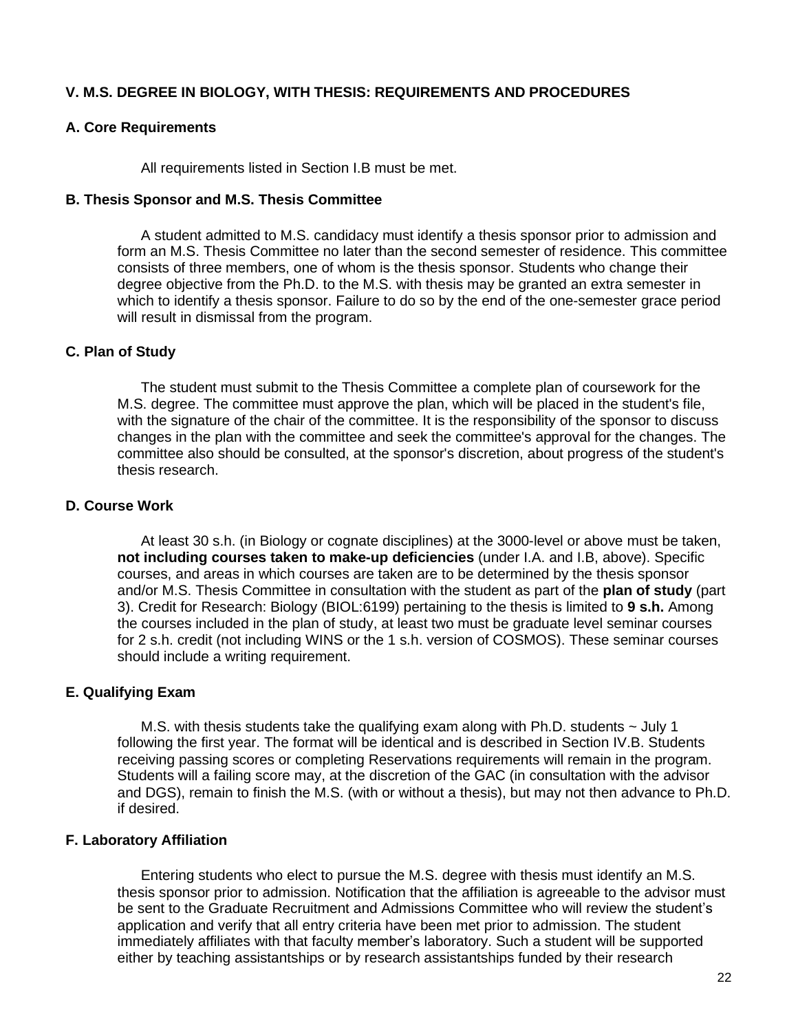# <span id="page-21-0"></span>**V. M.S. DEGREE IN BIOLOGY, WITH THESIS: REQUIREMENTS AND PROCEDURES**

## <span id="page-21-1"></span>**A. Core Requirements**

All requirements listed in Section I.B must be met.

#### <span id="page-21-2"></span>**B. Thesis Sponsor and M.S. Thesis Committee**

A student admitted to M.S. candidacy must identify a thesis sponsor prior to admission and form an M.S. Thesis Committee no later than the second semester of residence. This committee consists of three members, one of whom is the thesis sponsor. Students who change their degree objective from the Ph.D. to the M.S. with thesis may be granted an extra semester in which to identify a thesis sponsor. Failure to do so by the end of the one-semester grace period will result in dismissal from the program.

## <span id="page-21-3"></span>**C. Plan of Study**

The student must submit to the Thesis Committee a complete plan of coursework for the M.S. degree. The committee must approve the plan, which will be placed in the student's file, with the signature of the chair of the committee. It is the responsibility of the sponsor to discuss changes in the plan with the committee and seek the committee's approval for the changes. The committee also should be consulted, at the sponsor's discretion, about progress of the student's thesis research.

## <span id="page-21-4"></span>**D. Course Work**

At least 30 s.h. (in Biology or cognate disciplines) at the 3000-level or above must be taken, **not including courses taken to make-up deficiencies** (under I.A. and I.B, above). Specific courses, and areas in which courses are taken are to be determined by the thesis sponsor and/or M.S. Thesis Committee in consultation with the student as part of the **plan of study** (part 3). Credit for Research: Biology (BIOL:6199) pertaining to the thesis is limited to **9 s.h.** Among the courses included in the plan of study, at least two must be graduate level seminar courses for 2 s.h. credit (not including WINS or the 1 s.h. version of COSMOS). These seminar courses should include a writing requirement.

#### <span id="page-21-5"></span>**E. Qualifying Exam**

M.S. with thesis students take the qualifying exam along with Ph.D. students  $\sim$  July 1 following the first year. The format will be identical and is described in Section IV.B. Students receiving passing scores or completing Reservations requirements will remain in the program. Students will a failing score may, at the discretion of the GAC (in consultation with the advisor and DGS), remain to finish the M.S. (with or without a thesis), but may not then advance to Ph.D. if desired.

#### <span id="page-21-6"></span>**F. Laboratory Affiliation**

Entering students who elect to pursue the M.S. degree with thesis must identify an M.S. thesis sponsor prior to admission. Notification that the affiliation is agreeable to the advisor must be sent to the Graduate Recruitment and Admissions Committee who will review the student's application and verify that all entry criteria have been met prior to admission. The student immediately affiliates with that faculty member's laboratory. Such a student will be supported either by teaching assistantships or by research assistantships funded by their research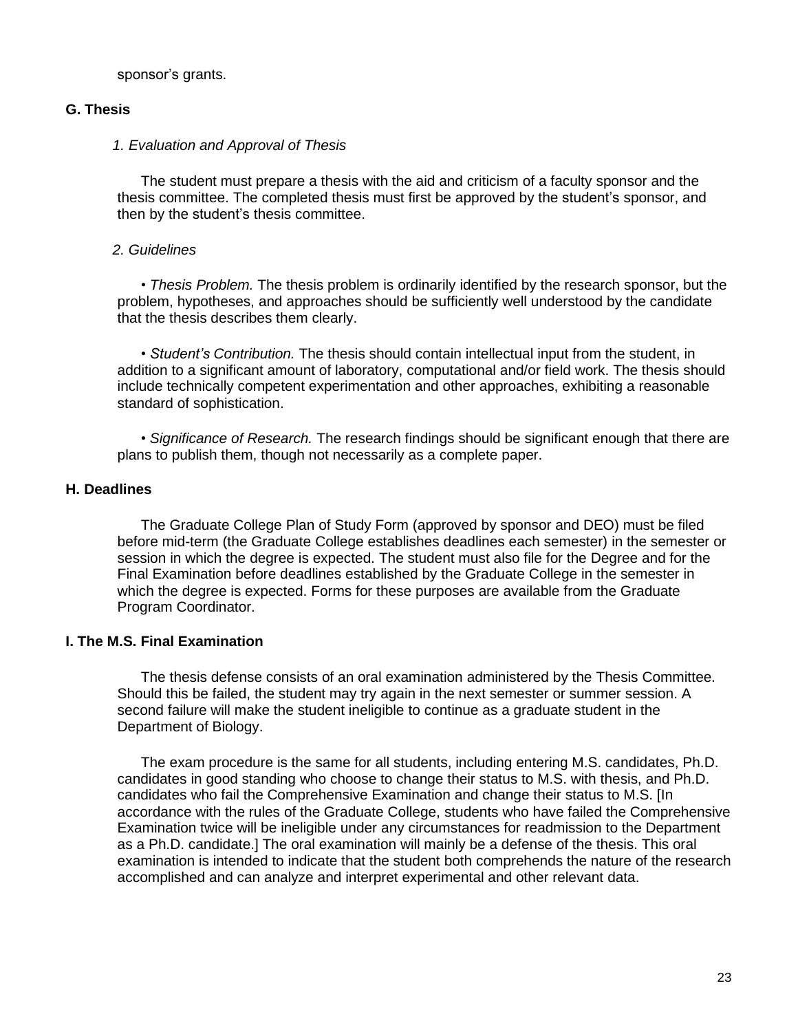sponsor's grants.

## <span id="page-22-0"></span>**G. Thesis**

#### <span id="page-22-1"></span>*1. Evaluation and Approval of Thesis*

The student must prepare a thesis with the aid and criticism of a faculty sponsor and the thesis committee. The completed thesis must first be approved by the student's sponsor, and then by the student's thesis committee.

#### <span id="page-22-2"></span>*2. Guidelines*

• *Thesis Problem.* The thesis problem is ordinarily identified by the research sponsor, but the problem, hypotheses, and approaches should be sufficiently well understood by the candidate that the thesis describes them clearly.

• *Student's Contribution.* The thesis should contain intellectual input from the student, in addition to a significant amount of laboratory, computational and/or field work. The thesis should include technically competent experimentation and other approaches, exhibiting a reasonable standard of sophistication.

• *Significance of Research.* The research findings should be significant enough that there are plans to publish them, though not necessarily as a complete paper.

## <span id="page-22-3"></span>**H. Deadlines**

The Graduate College Plan of Study Form (approved by sponsor and DEO) must be filed before mid-term (the Graduate College establishes deadlines each semester) in the semester or session in which the degree is expected. The student must also file for the Degree and for the Final Examination before deadlines established by the Graduate College in the semester in which the degree is expected. Forms for these purposes are available from the Graduate Program Coordinator.

# <span id="page-22-4"></span>**I. The M.S. Final Examination**

The thesis defense consists of an oral examination administered by the Thesis Committee. Should this be failed, the student may try again in the next semester or summer session. A second failure will make the student ineligible to continue as a graduate student in the Department of Biology.

The exam procedure is the same for all students, including entering M.S. candidates, Ph.D. candidates in good standing who choose to change their status to M.S. with thesis, and Ph.D. candidates who fail the Comprehensive Examination and change their status to M.S. [In accordance with the rules of the Graduate College, students who have failed the Comprehensive Examination twice will be ineligible under any circumstances for readmission to the Department as a Ph.D. candidate.] The oral examination will mainly be a defense of the thesis. This oral examination is intended to indicate that the student both comprehends the nature of the research accomplished and can analyze and interpret experimental and other relevant data.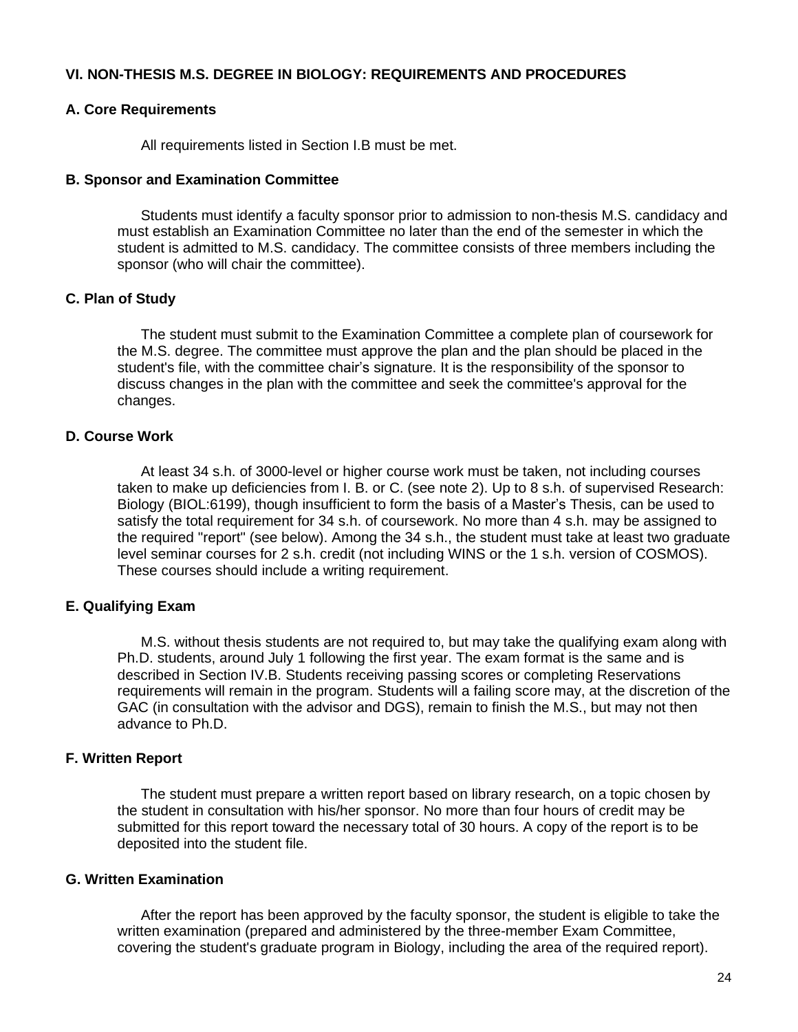## <span id="page-23-0"></span>**VI. NON-THESIS M.S. DEGREE IN BIOLOGY: REQUIREMENTS AND PROCEDURES**

#### <span id="page-23-1"></span>**A. Core Requirements**

All requirements listed in Section I.B must be met.

#### <span id="page-23-2"></span>**B. Sponsor and Examination Committee**

Students must identify a faculty sponsor prior to admission to non-thesis M.S. candidacy and must establish an Examination Committee no later than the end of the semester in which the student is admitted to M.S. candidacy. The committee consists of three members including the sponsor (who will chair the committee).

## <span id="page-23-3"></span>**C. Plan of Study**

The student must submit to the Examination Committee a complete plan of coursework for the M.S. degree. The committee must approve the plan and the plan should be placed in the student's file, with the committee chair's signature. It is the responsibility of the sponsor to discuss changes in the plan with the committee and seek the committee's approval for the changes.

## <span id="page-23-4"></span>**D. Course Work**

At least 34 s.h. of 3000-level or higher course work must be taken, not including courses taken to make up deficiencies from I. B. or C. (see note 2). Up to 8 s.h. of supervised Research: Biology (BIOL:6199), though insufficient to form the basis of a Master's Thesis, can be used to satisfy the total requirement for 34 s.h. of coursework. No more than 4 s.h. may be assigned to the required "report" (see below). Among the 34 s.h., the student must take at least two graduate level seminar courses for 2 s.h. credit (not including WINS or the 1 s.h. version of COSMOS). These courses should include a writing requirement.

## <span id="page-23-5"></span>**E. Qualifying Exam**

M.S. without thesis students are not required to, but may take the qualifying exam along with Ph.D. students, around July 1 following the first year. The exam format is the same and is described in Section IV.B. Students receiving passing scores or completing Reservations requirements will remain in the program. Students will a failing score may, at the discretion of the GAC (in consultation with the advisor and DGS), remain to finish the M.S., but may not then advance to Ph.D.

#### <span id="page-23-6"></span>**F. Written Report**

The student must prepare a written report based on library research, on a topic chosen by the student in consultation with his/her sponsor. No more than four hours of credit may be submitted for this report toward the necessary total of 30 hours. A copy of the report is to be deposited into the student file.

## <span id="page-23-7"></span>**G. Written Examination**

After the report has been approved by the faculty sponsor, the student is eligible to take the written examination (prepared and administered by the three-member Exam Committee, covering the student's graduate program in Biology, including the area of the required report).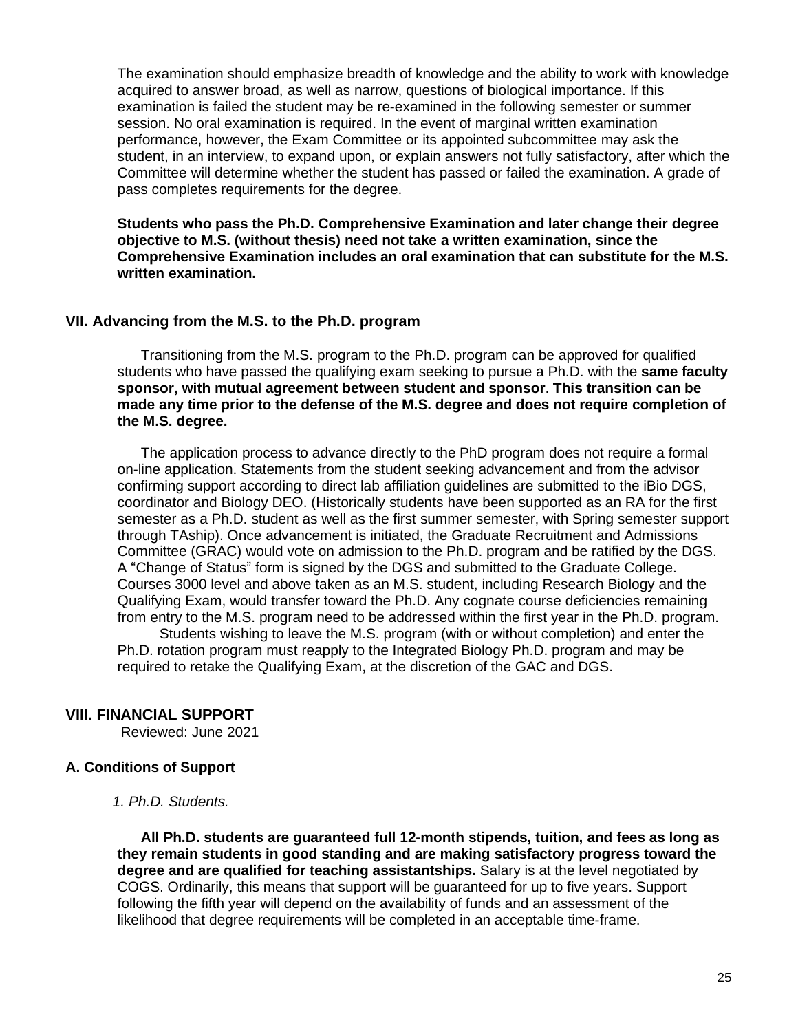The examination should emphasize breadth of knowledge and the ability to work with knowledge acquired to answer broad, as well as narrow, questions of biological importance. If this examination is failed the student may be re-examined in the following semester or summer session. No oral examination is required. In the event of marginal written examination performance, however, the Exam Committee or its appointed subcommittee may ask the student, in an interview, to expand upon, or explain answers not fully satisfactory, after which the Committee will determine whether the student has passed or failed the examination. A grade of pass completes requirements for the degree.

**Students who pass the Ph.D. Comprehensive Examination and later change their degree objective to M.S. (without thesis) need not take a written examination, since the Comprehensive Examination includes an oral examination that can substitute for the M.S. written examination.**

#### <span id="page-24-0"></span>**VII. Advancing from the M.S. to the Ph.D. program**

Transitioning from the M.S. program to the Ph.D. program can be approved for qualified students who have passed the qualifying exam seeking to pursue a Ph.D. with the **same faculty sponsor, with mutual agreement between student and sponsor**. **This transition can be made any time prior to the defense of the M.S. degree and does not require completion of the M.S. degree.** 

The application process to advance directly to the PhD program does not require a formal on-line application. Statements from the student seeking advancement and from the advisor confirming support according to direct lab affiliation guidelines are submitted to the iBio DGS, coordinator and Biology DEO. (Historically students have been supported as an RA for the first semester as a Ph.D. student as well as the first summer semester, with Spring semester support through TAship). Once advancement is initiated, the Graduate Recruitment and Admissions Committee (GRAC) would vote on admission to the Ph.D. program and be ratified by the DGS. A "Change of Status" form is signed by the DGS and submitted to the Graduate College. Courses 3000 level and above taken as an M.S. student, including Research Biology and the Qualifying Exam, would transfer toward the Ph.D. Any cognate course deficiencies remaining from entry to the M.S. program need to be addressed within the first year in the Ph.D. program.

Students wishing to leave the M.S. program (with or without completion) and enter the Ph.D. rotation program must reapply to the Integrated Biology Ph.D. program and may be required to retake the Qualifying Exam, at the discretion of the GAC and DGS.

## <span id="page-24-1"></span>**VIII. FINANCIAL SUPPORT**

Reviewed: June 2021

## <span id="page-24-2"></span>**A. Conditions of Support**

<span id="page-24-3"></span>*1. Ph.D. Students.*

**All Ph.D. students are guaranteed full 12-month stipends, tuition, and fees as long as they remain students in good standing and are making satisfactory progress toward the degree and are qualified for teaching assistantships.** Salary is at the level negotiated by COGS. Ordinarily, this means that support will be guaranteed for up to five years. Support following the fifth year will depend on the availability of funds and an assessment of the likelihood that degree requirements will be completed in an acceptable time-frame.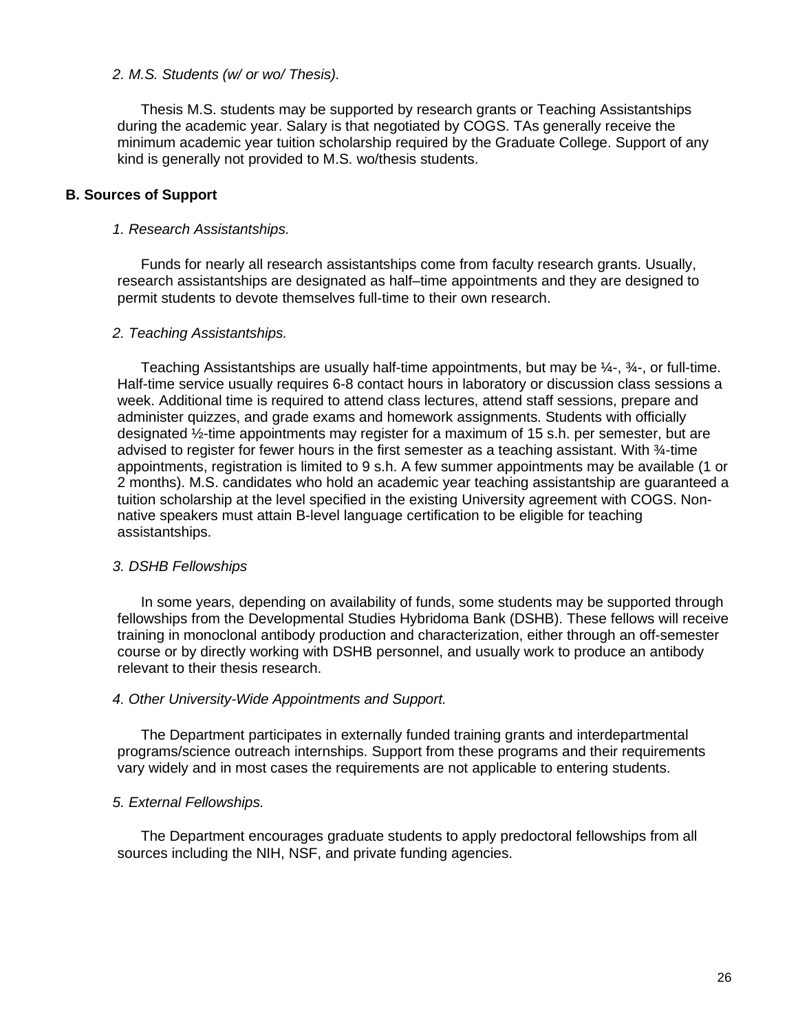#### <span id="page-25-0"></span>*2. M.S. Students (w/ or wo/ Thesis).*

Thesis M.S. students may be supported by research grants or Teaching Assistantships during the academic year. Salary is that negotiated by COGS. TAs generally receive the minimum academic year tuition scholarship required by the Graduate College. Support of any kind is generally not provided to M.S. wo/thesis students.

#### <span id="page-25-1"></span>**B. Sources of Support**

#### <span id="page-25-2"></span>*1. Research Assistantships.*

Funds for nearly all research assistantships come from faculty research grants. Usually, research assistantships are designated as half–time appointments and they are designed to permit students to devote themselves full-time to their own research.

#### <span id="page-25-3"></span>*2. Teaching Assistantships.*

Teaching Assistantships are usually half-time appointments, but may be ¼-, ¾-, or full-time. Half-time service usually requires 6-8 contact hours in laboratory or discussion class sessions a week. Additional time is required to attend class lectures, attend staff sessions, prepare and administer quizzes, and grade exams and homework assignments. Students with officially designated ½-time appointments may register for a maximum of 15 s.h. per semester, but are advised to register for fewer hours in the first semester as a teaching assistant. With  $\frac{3}{4}$ -time appointments, registration is limited to 9 s.h. A few summer appointments may be available (1 or 2 months). M.S. candidates who hold an academic year teaching assistantship are guaranteed a tuition scholarship at the level specified in the existing University agreement with COGS. Nonnative speakers must attain B-level language certification to be eligible for teaching assistantships.

#### <span id="page-25-4"></span>*3. DSHB Fellowships*

In some years, depending on availability of funds, some students may be supported through fellowships from the Developmental Studies Hybridoma Bank (DSHB). These fellows will receive training in monoclonal antibody production and characterization, either through an off-semester course or by directly working with DSHB personnel, and usually work to produce an antibody relevant to their thesis research.

#### <span id="page-25-5"></span>*4. Other University-Wide Appointments and Support.*

The Department participates in externally funded training grants and interdepartmental programs/science outreach internships. Support from these programs and their requirements vary widely and in most cases the requirements are not applicable to entering students.

#### <span id="page-25-6"></span>*5. External Fellowships.*

The Department encourages graduate students to apply predoctoral fellowships from all sources including the NIH, NSF, and private funding agencies.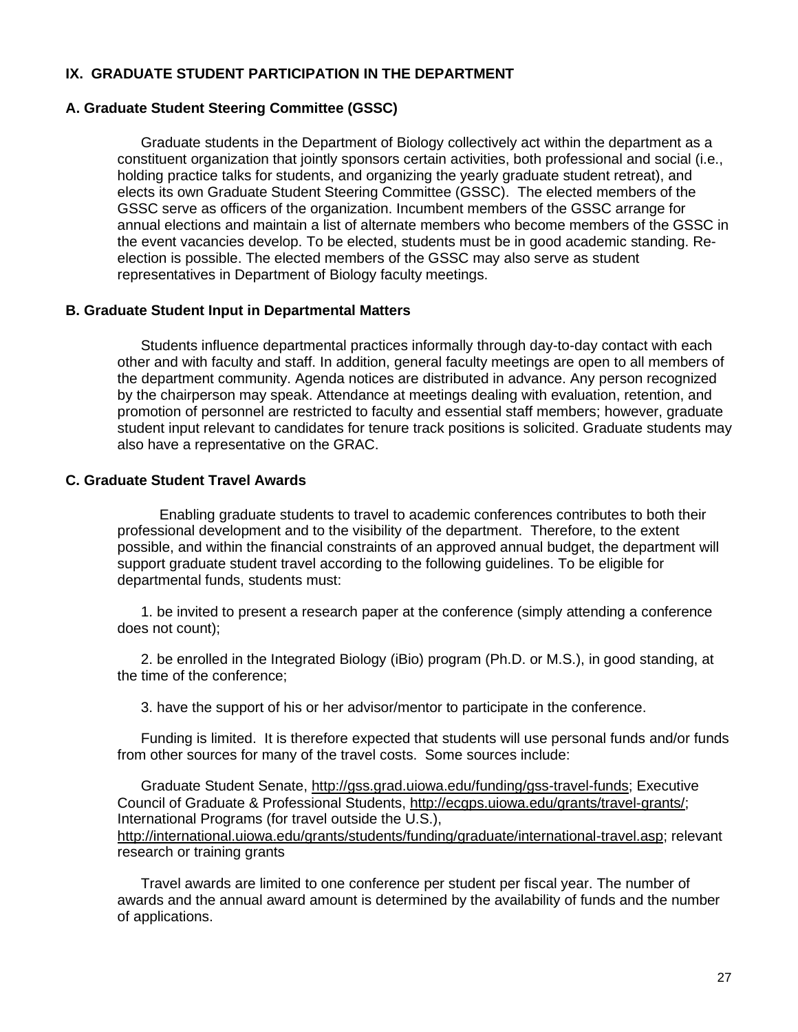## <span id="page-26-0"></span>**IX. GRADUATE STUDENT PARTICIPATION IN THE DEPARTMENT**

#### <span id="page-26-1"></span>**A. Graduate Student Steering Committee (GSSC)**

Graduate students in the Department of Biology collectively act within the department as a constituent organization that jointly sponsors certain activities, both professional and social (i.e., holding practice talks for students, and organizing the yearly graduate student retreat), and elects its own Graduate Student Steering Committee (GSSC). The elected members of the GSSC serve as officers of the organization. Incumbent members of the GSSC arrange for annual elections and maintain a list of alternate members who become members of the GSSC in the event vacancies develop. To be elected, students must be in good academic standing. Reelection is possible. The elected members of the GSSC may also serve as student representatives in Department of Biology faculty meetings.

#### <span id="page-26-2"></span>**B. Graduate Student Input in Departmental Matters**

Students influence departmental practices informally through day-to-day contact with each other and with faculty and staff. In addition, general faculty meetings are open to all members of the department community. Agenda notices are distributed in advance. Any person recognized by the chairperson may speak. Attendance at meetings dealing with evaluation, retention, and promotion of personnel are restricted to faculty and essential staff members; however, graduate student input relevant to candidates for tenure track positions is solicited. Graduate students may also have a representative on the GRAC.

## <span id="page-26-3"></span>**C. Graduate Student Travel Awards**

Enabling graduate students to travel to academic conferences contributes to both their professional development and to the visibility of the department. Therefore, to the extent possible, and within the financial constraints of an approved annual budget, the department will support graduate student travel according to the following guidelines. To be eligible for departmental funds, students must:

1. be invited to present a research paper at the conference (simply attending a conference does not count);

2. be enrolled in the Integrated Biology (iBio) program (Ph.D. or M.S.), in good standing, at the time of the conference;

3. have the support of his or her advisor/mentor to participate in the conference.

Funding is limited. It is therefore expected that students will use personal funds and/or funds from other sources for many of the travel costs. Some sources include:

Graduate Student Senate, [http://gss.grad.uiowa.edu/funding/gss-travel-funds;](http://gss.grad.uiowa.edu/funding/gss-travel-funds) Executive Council of Graduate & Professional Students, [http://ecgps.uiowa.edu/grants/travel-grants/;](http://ecgps.uiowa.edu/grants/travel-grants/) International Programs (for travel outside the U.S.), [http://international.uiowa.edu/grants/students/funding/graduate/international-travel.asp;](http://international.uiowa.edu/grants/students/funding/graduate/international-travel.asp) relevant research or training grants

Travel awards are limited to one conference per student per fiscal year. The number of awards and the annual award amount is determined by the availability of funds and the number of applications.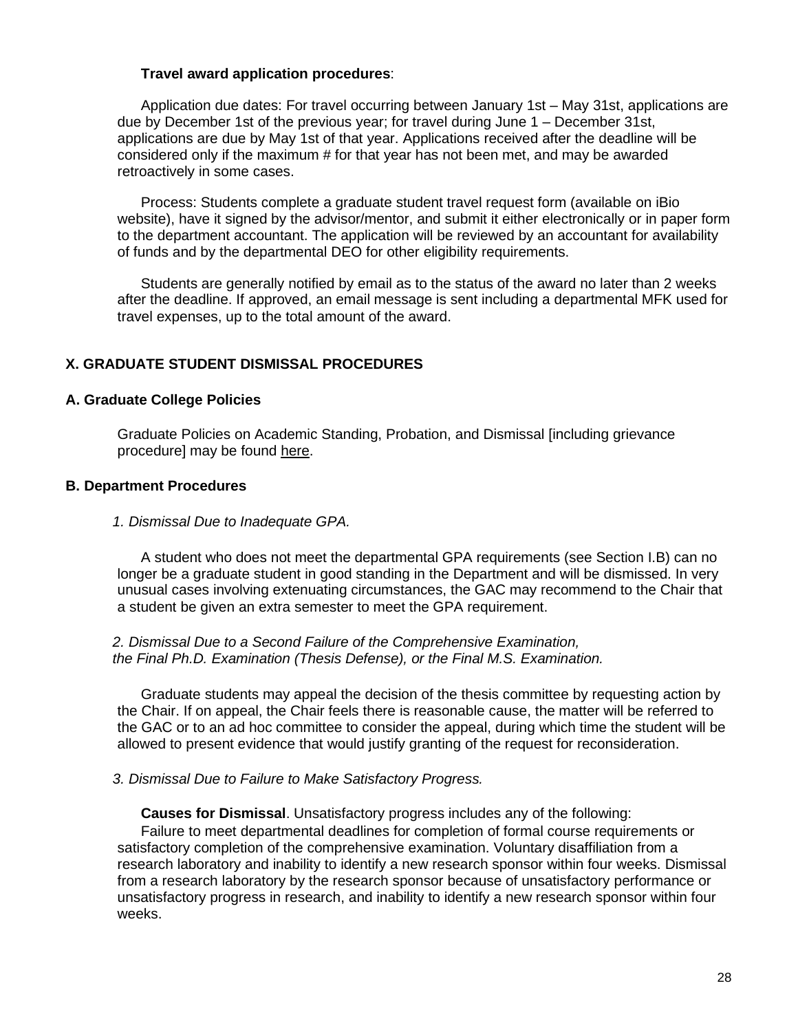#### **Travel award application procedures**:

Application due dates: For travel occurring between January 1st – May 31st, applications are due by December 1st of the previous year; for travel during June 1 – December 31st, applications are due by May 1st of that year. Applications received after the deadline will be considered only if the maximum # for that year has not been met, and may be awarded retroactively in some cases.

Process: Students complete a graduate student travel request form (available on iBio website), have it signed by the advisor/mentor, and submit it either electronically or in paper form to the department accountant. The application will be reviewed by an accountant for availability of funds and by the departmental DEO for other eligibility requirements.

Students are generally notified by email as to the status of the award no later than 2 weeks after the deadline. If approved, an email message is sent including a departmental MFK used for travel expenses, up to the total amount of the award.

## <span id="page-27-0"></span>**X. GRADUATE STUDENT DISMISSAL PROCEDURES**

#### <span id="page-27-1"></span>**A. Graduate College Policies**

Graduate Policies on Academic Standing, Probation, and Dismissal [including grievance procedure] may be found [here.](http://www.grad.uiowa.edu/Pubs/ManualRulesRegs.asp#1.4)

# <span id="page-27-2"></span>**B. Department Procedures**

#### <span id="page-27-3"></span>*1. Dismissal Due to Inadequate GPA.*

A student who does not meet the departmental GPA requirements (see Section I.B) can no longer be a graduate student in good standing in the Department and will be dismissed. In very unusual cases involving extenuating circumstances, the GAC may recommend to the Chair that a student be given an extra semester to meet the GPA requirement.

#### <span id="page-27-4"></span>*2. Dismissal Due to a Second Failure of the Comprehensive Examination, the Final Ph.D. Examination (Thesis Defense), or the Final M.S. Examination.*

Graduate students may appeal the decision of the thesis committee by requesting action by the Chair. If on appeal, the Chair feels there is reasonable cause, the matter will be referred to the GAC or to an ad hoc committee to consider the appeal, during which time the student will be allowed to present evidence that would justify granting of the request for reconsideration.

#### <span id="page-27-5"></span>*3. Dismissal Due to Failure to Make Satisfactory Progress.*

**Causes for Dismissal**. Unsatisfactory progress includes any of the following: Failure to meet departmental deadlines for completion of formal course requirements or satisfactory completion of the comprehensive examination. Voluntary disaffiliation from a research laboratory and inability to identify a new research sponsor within four weeks. Dismissal from a research laboratory by the research sponsor because of unsatisfactory performance or unsatisfactory progress in research, and inability to identify a new research sponsor within four weeks.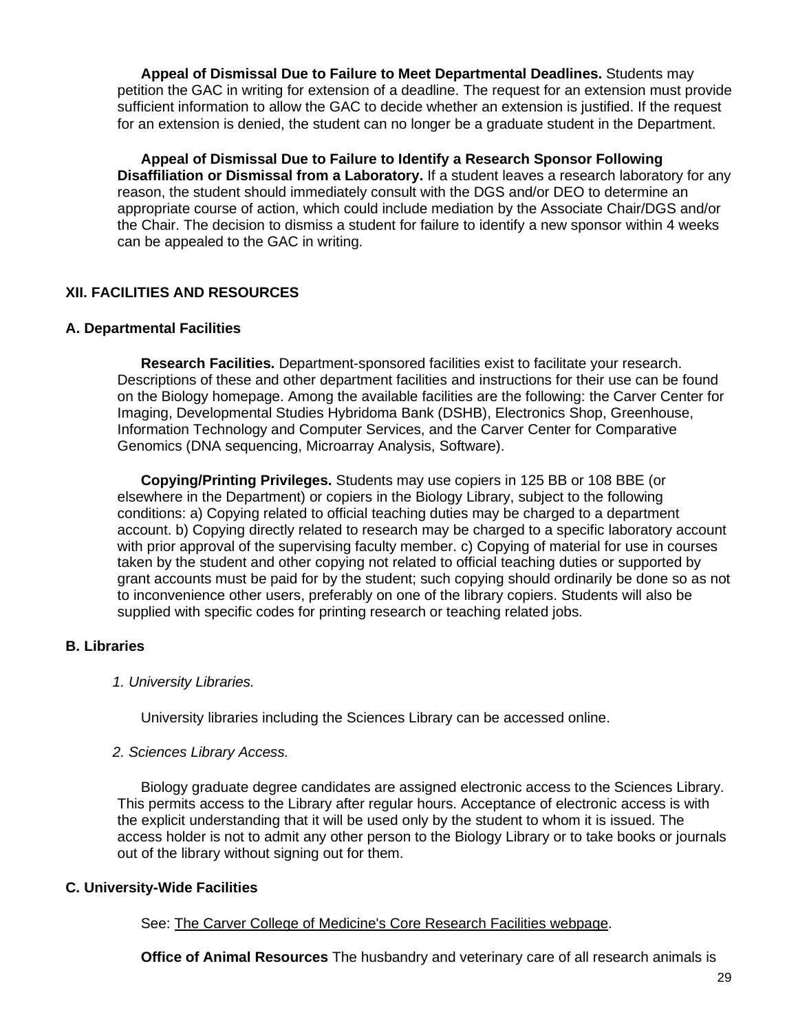**Appeal of Dismissal Due to Failure to Meet Departmental Deadlines.** Students may petition the GAC in writing for extension of a deadline. The request for an extension must provide sufficient information to allow the GAC to decide whether an extension is justified. If the request for an extension is denied, the student can no longer be a graduate student in the Department.

**Appeal of Dismissal Due to Failure to Identify a Research Sponsor Following Disaffiliation or Dismissal from a Laboratory.** If a student leaves a research laboratory for any reason, the student should immediately consult with the DGS and/or DEO to determine an appropriate course of action, which could include mediation by the Associate Chair/DGS and/or the Chair. The decision to dismiss a student for failure to identify a new sponsor within 4 weeks can be appealed to the GAC in writing.

## <span id="page-28-0"></span>**XII. FACILITIES AND RESOURCES**

## <span id="page-28-1"></span>**A. Departmental Facilities**

**Research Facilities.** Department-sponsored facilities exist to facilitate your research. Descriptions of these and other department facilities and instructions for their use can be found on the Biology homepage. Among the available facilities are the following: the Carver Center for Imaging, Developmental Studies Hybridoma Bank (DSHB), Electronics Shop, Greenhouse, Information Technology and Computer Services, and the Carver Center for Comparative Genomics (DNA sequencing, Microarray Analysis, Software).

**Copying/Printing Privileges.** Students may use copiers in 125 BB or 108 BBE (or elsewhere in the Department) or copiers in the Biology Library, subject to the following conditions: a) Copying related to official teaching duties may be charged to a department account. b) Copying directly related to research may be charged to a specific laboratory account with prior approval of the supervising faculty member. c) Copying of material for use in courses taken by the student and other copying not related to official teaching duties or supported by grant accounts must be paid for by the student; such copying should ordinarily be done so as not to inconvenience other users, preferably on one of the library copiers. Students will also be supplied with specific codes for printing research or teaching related jobs.

## <span id="page-28-2"></span>**B. Libraries**

#### <span id="page-28-3"></span>*1. University Libraries.*

University libraries including the Sciences Library can be accessed online.

#### <span id="page-28-4"></span>*2. Sciences Library Access.*

Biology graduate degree candidates are assigned electronic access to the Sciences Library. This permits access to the Library after regular hours. Acceptance of electronic access is with the explicit understanding that it will be used only by the student to whom it is issued. The access holder is not to admit any other person to the Biology Library or to take books or journals out of the library without signing out for them.

## <span id="page-28-5"></span>**C. University-Wide Facilities**

See: The Carver College of [Medicine's](http://www.medicine.uiowa.edu/research.aspx?pageid=77) Core Research Facilities webpage.

**Office of Animal Resources** The husbandry and veterinary care of all research animals is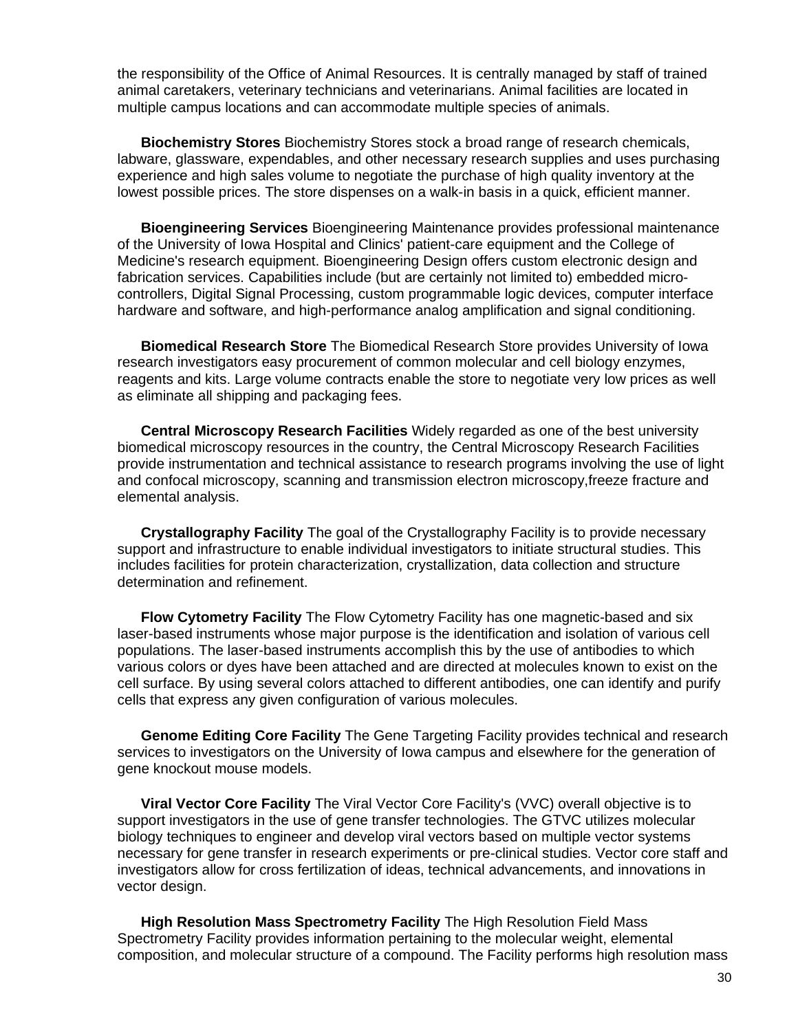the responsibility of the Office of Animal Resources. It is centrally managed by staff of trained animal caretakers, veterinary technicians and veterinarians. Animal facilities are located in multiple campus locations and can accommodate multiple species of animals.

**Biochemistry Stores** Biochemistry Stores stock a broad range of research chemicals, labware, glassware, expendables, and other necessary research supplies and uses purchasing experience and high sales volume to negotiate the purchase of high quality inventory at the lowest possible prices. The store dispenses on a walk-in basis in a quick, efficient manner.

**Bioengineering Services** Bioengineering Maintenance provides professional maintenance of the University of Iowa Hospital and Clinics' patient-care equipment and the College of Medicine's research equipment. Bioengineering Design offers custom electronic design and fabrication services. Capabilities include (but are certainly not limited to) embedded microcontrollers, Digital Signal Processing, custom programmable logic devices, computer interface hardware and software, and high-performance analog amplification and signal conditioning.

**Biomedical Research Store** The Biomedical Research Store provides University of Iowa research investigators easy procurement of common molecular and cell biology enzymes, reagents and kits. Large volume contracts enable the store to negotiate very low prices as well as eliminate all shipping and packaging fees.

**Central Microscopy Research Facilities** Widely regarded as one of the best university biomedical microscopy resources in the country, the Central Microscopy Research Facilities provide instrumentation and technical assistance to research programs involving the use of light and confocal microscopy, scanning and transmission electron microscopy,freeze fracture and elemental analysis.

**Crystallography Facility** The goal of the Crystallography Facility is to provide necessary support and infrastructure to enable individual investigators to initiate structural studies. This includes facilities for protein characterization, crystallization, data collection and structure determination and refinement.

**Flow Cytometry Facility** The Flow Cytometry Facility has one magnetic-based and six laser-based instruments whose major purpose is the identification and isolation of various cell populations. The laser-based instruments accomplish this by the use of antibodies to which various colors or dyes have been attached and are directed at molecules known to exist on the cell surface. By using several colors attached to different antibodies, one can identify and purify cells that express any given configuration of various molecules.

**Genome Editing Core Facility** The Gene Targeting Facility provides technical and research services to investigators on the University of Iowa campus and elsewhere for the generation of gene knockout mouse models.

**Viral Vector Core Facility** The Viral Vector Core Facility's (VVC) overall objective is to support investigators in the use of gene transfer technologies. The GTVC utilizes molecular biology techniques to engineer and develop viral vectors based on multiple vector systems necessary for gene transfer in research experiments or pre-clinical studies. Vector core staff and investigators allow for cross fertilization of ideas, technical advancements, and innovations in vector design.

**High Resolution Mass Spectrometry Facility** The High Resolution Field Mass Spectrometry Facility provides information pertaining to the molecular weight, elemental composition, and molecular structure of a compound. The Facility performs high resolution mass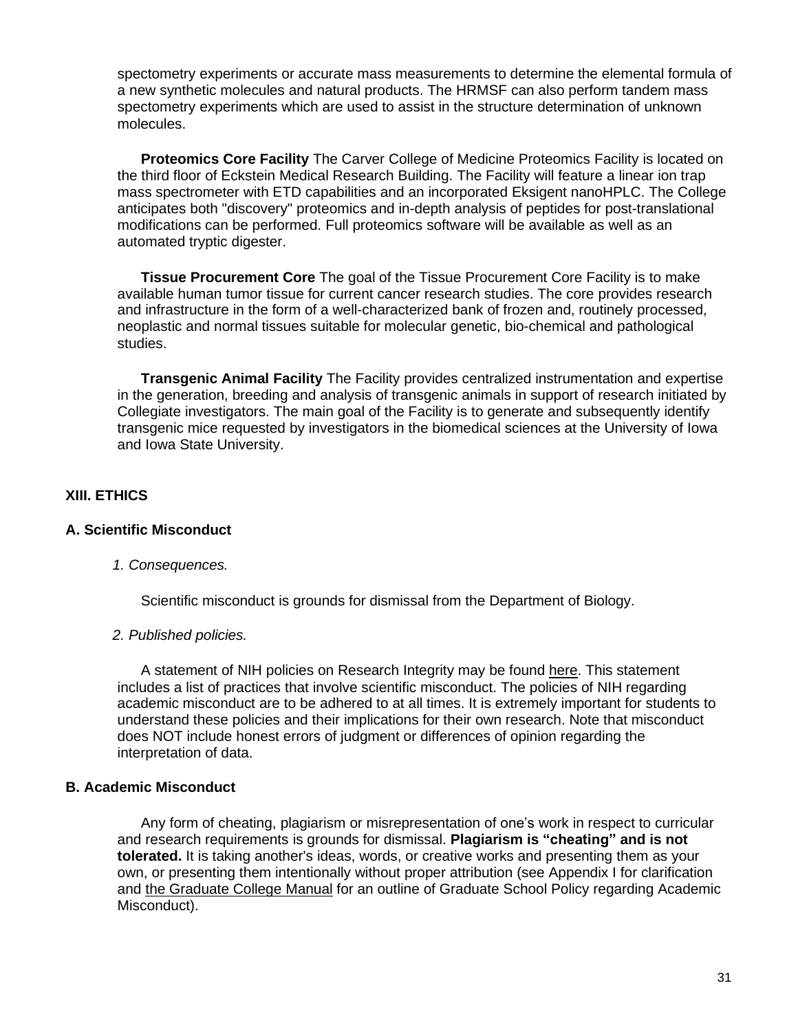spectometry experiments or accurate mass measurements to determine the elemental formula of a new synthetic molecules and natural products. The HRMSF can also perform tandem mass spectometry experiments which are used to assist in the structure determination of unknown molecules.

**Proteomics Core Facility** The Carver College of Medicine Proteomics Facility is located on the third floor of Eckstein Medical Research Building. The Facility will feature a linear ion trap mass spectrometer with ETD capabilities and an incorporated Eksigent nanoHPLC. The College anticipates both "discovery" proteomics and in-depth analysis of peptides for post-translational modifications can be performed. Full proteomics software will be available as well as an automated tryptic digester.

**Tissue Procurement Core** The goal of the Tissue Procurement Core Facility is to make available human tumor tissue for current cancer research studies. The core provides research and infrastructure in the form of a well-characterized bank of frozen and, routinely processed, neoplastic and normal tissues suitable for molecular genetic, bio-chemical and pathological studies.

**Transgenic Animal Facility** The Facility provides centralized instrumentation and expertise in the generation, breeding and analysis of transgenic animals in support of research initiated by Collegiate investigators. The main goal of the Facility is to generate and subsequently identify transgenic mice requested by investigators in the biomedical sciences at the University of Iowa and Iowa State University.

# <span id="page-30-0"></span>**XIII. ETHICS**

## <span id="page-30-1"></span>**A. Scientific Misconduct**

#### <span id="page-30-2"></span>*1. Consequences.*

Scientific misconduct is grounds for dismissal from the Department of Biology.

#### <span id="page-30-3"></span>*2. Published policies.*

A statement of NIH policies on Research Integrity may be found [here.](http://grants.nih.gov/grants/research_integrity/research_misconduct.htm) This statement includes a list of practices that involve scientific misconduct. The policies of NIH regarding academic misconduct are to be adhered to at all times. It is extremely important for students to understand these policies and their implications for their own research. Note that misconduct does NOT include honest errors of judgment or differences of opinion regarding the interpretation of data.

#### <span id="page-30-4"></span>**B. Academic Misconduct**

Any form of cheating, plagiarism or misrepresentation of one's work in respect to curricular and research requirements is grounds for dismissal. **Plagiarism is "cheating" and is not tolerated.** It is taking another's ideas, words, or creative works and presenting them as your own, or presenting them intentionally without proper attribution (see Appendix I for clarification and the [Graduate](http://www.grad.uiowa.edu/graduate-college-manual) College Manual for an outline of Graduate School Policy regarding Academic Misconduct).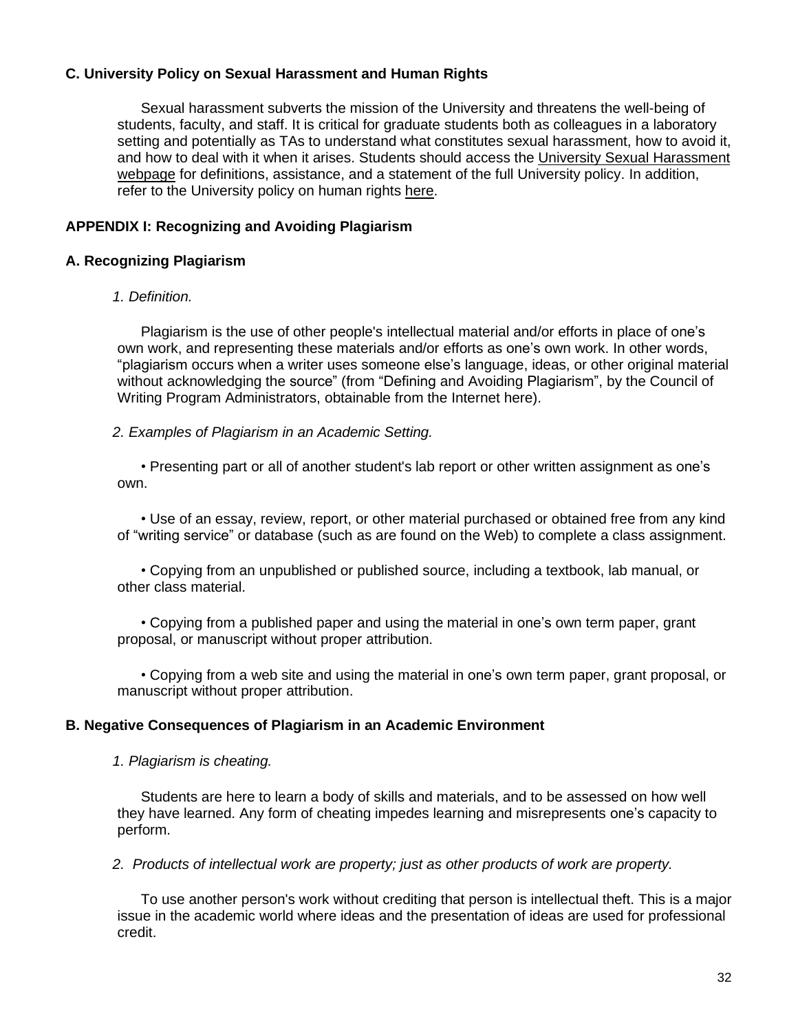## <span id="page-31-0"></span>**C. University Policy on Sexual Harassment and Human Rights**

<span id="page-31-1"></span>Sexual harassment subverts the mission of the University and threatens the well-being of students, faculty, and staff. It is critical for graduate students both as colleagues in a laboratory setting and potentially as TAs to understand what constitutes sexual harassment, how to avoid it, and how to deal with it when it arises. Students should access the University Sexual [Harassment](http://opsmanual.uiowa.edu/community-policies/sexual-harassment) [webpage](http://opsmanual.uiowa.edu/community-policies/sexual-harassment) for definitions, assistance, and a statement of the full University policy. In addition, refer to the University policy on human rights [here.](http://opsmanual.uiowa.edu/community-policies/human-rights)

## **APPENDIX I: Recognizing and Avoiding Plagiarism**

#### <span id="page-31-2"></span>**A. Recognizing Plagiarism**

#### <span id="page-31-3"></span>*1. Definition.*

Plagiarism is the use of other people's intellectual material and/or efforts in place of one's own work, and representing these materials and/or efforts as one's own work. In other words, "plagiarism occurs when a writer uses someone else's language, ideas, or other original material without acknowledging the source" (from "Defining and Avoiding Plagiarism", by the Council of Writing Program Administrators, obtainable from the Internet [here\)](http://www.wpacouncil.org/).

#### <span id="page-31-4"></span>*2. Examples of Plagiarism in an Academic Setting.*

• Presenting part or all of another student's lab report or other written assignment as one's own.

• Use of an essay, review, report, or other material purchased or obtained free from any kind of "writing service" or database (such as are found on the Web) to complete a class assignment.

• Copying from an unpublished or published source, including a textbook, lab manual, or other class material.

• Copying from a published paper and using the material in one's own term paper, grant proposal, or manuscript without proper attribution.

• Copying from a web site and using the material in one's own term paper, grant proposal, or manuscript without proper attribution.

#### <span id="page-31-5"></span>**B. Negative Consequences of Plagiarism in an Academic Environment**

#### <span id="page-31-6"></span>*1. Plagiarism is cheating.*

Students are here to learn a body of skills and materials, and to be assessed on how well they have learned. Any form of cheating impedes learning and misrepresents one's capacity to perform.

<span id="page-31-7"></span>*2. Products of intellectual work are property; just as other products of work are property.*

To use another person's work without crediting that person is intellectual theft. This is a major issue in the academic world where ideas and the presentation of ideas are used for professional credit.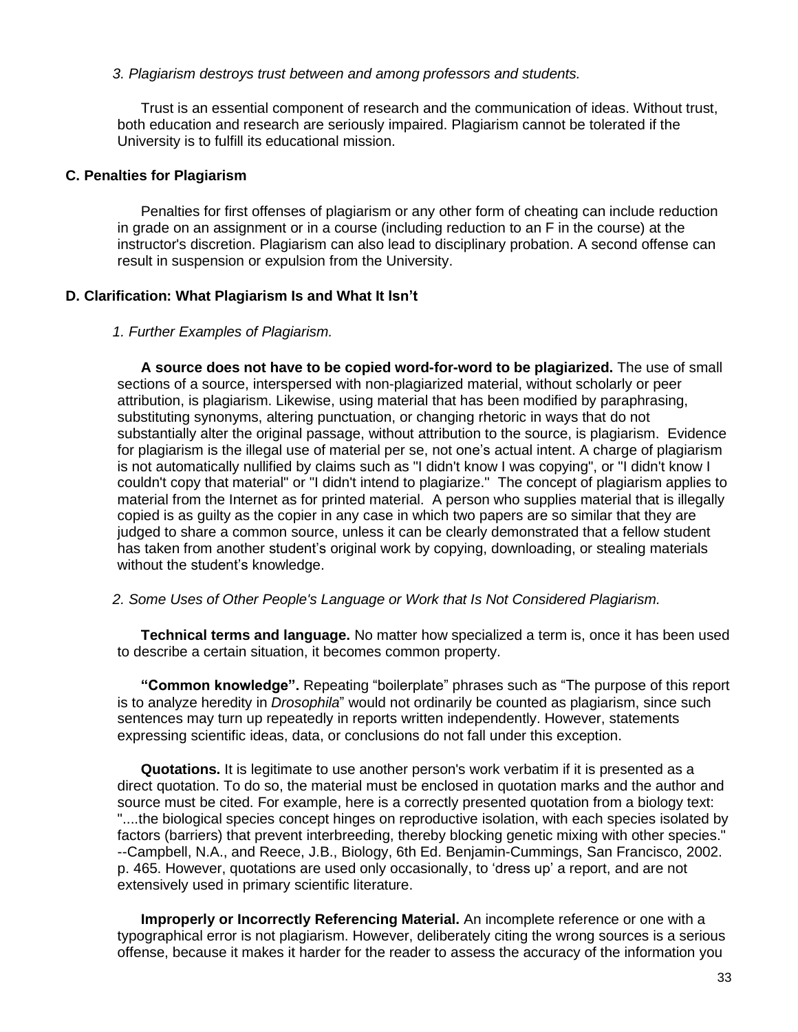#### <span id="page-32-0"></span>*3. Plagiarism destroys trust between and among professors and students.*

Trust is an essential component of research and the communication of ideas. Without trust, both education and research are seriously impaired. Plagiarism cannot be tolerated if the University is to fulfill its educational mission.

#### <span id="page-32-1"></span>**C. Penalties for Plagiarism**

Penalties for first offenses of plagiarism or any other form of cheating can include reduction in grade on an assignment or in a course (including reduction to an F in the course) at the instructor's discretion. Plagiarism can also lead to disciplinary probation. A second offense can result in suspension or expulsion from the University.

## <span id="page-32-2"></span>**D. Clarification: What Plagiarism Is and What It Isn't**

#### <span id="page-32-3"></span>*1. Further Examples of Plagiarism.*

**A source does not have to be copied word-for-word to be plagiarized.** The use of small sections of a source, interspersed with non-plagiarized material, without scholarly or peer attribution, is plagiarism. Likewise, using material that has been modified by paraphrasing, substituting synonyms, altering punctuation, or changing rhetoric in ways that do not substantially alter the original passage, without attribution to the source, is plagiarism. Evidence for plagiarism is the illegal use of material per se, not one's actual intent. A charge of plagiarism is not automatically nullified by claims such as "I didn't know I was copying", or "I didn't know I couldn't copy that material" or "I didn't intend to plagiarize." The concept of plagiarism applies to material from the Internet as for printed material. A person who supplies material that is illegally copied is as guilty as the copier in any case in which two papers are so similar that they are judged to share a common source, unless it can be clearly demonstrated that a fellow student has taken from another student's original work by copying, downloading, or stealing materials without the student's knowledge.

#### <span id="page-32-4"></span>*2. Some Uses of Other People's Language or Work that Is Not Considered Plagiarism.*

**Technical terms and language.** No matter how specialized a term is, once it has been used to describe a certain situation, it becomes common property.

**"Common knowledge".** Repeating "boilerplate" phrases such as "The purpose of this report is to analyze heredity in *Drosophila*" would not ordinarily be counted as plagiarism, since such sentences may turn up repeatedly in reports written independently. However, statements expressing scientific ideas, data, or conclusions do not fall under this exception.

**Quotations.** It is legitimate to use another person's work verbatim if it is presented as a direct quotation. To do so, the material must be enclosed in quotation marks and the author and source must be cited. For example, here is a correctly presented quotation from a biology text: "....the biological species concept hinges on reproductive isolation, with each species isolated by factors (barriers) that prevent interbreeding, thereby blocking genetic mixing with other species." --Campbell, N.A., and Reece, J.B., Biology, 6th Ed. Benjamin-Cummings, San Francisco, 2002. p. 465. However, quotations are used only occasionally, to 'dress up' a report, and are not extensively used in primary scientific literature.

**Improperly or Incorrectly Referencing Material.** An incomplete reference or one with a typographical error is not plagiarism. However, deliberately citing the wrong sources is a serious offense, because it makes it harder for the reader to assess the accuracy of the information you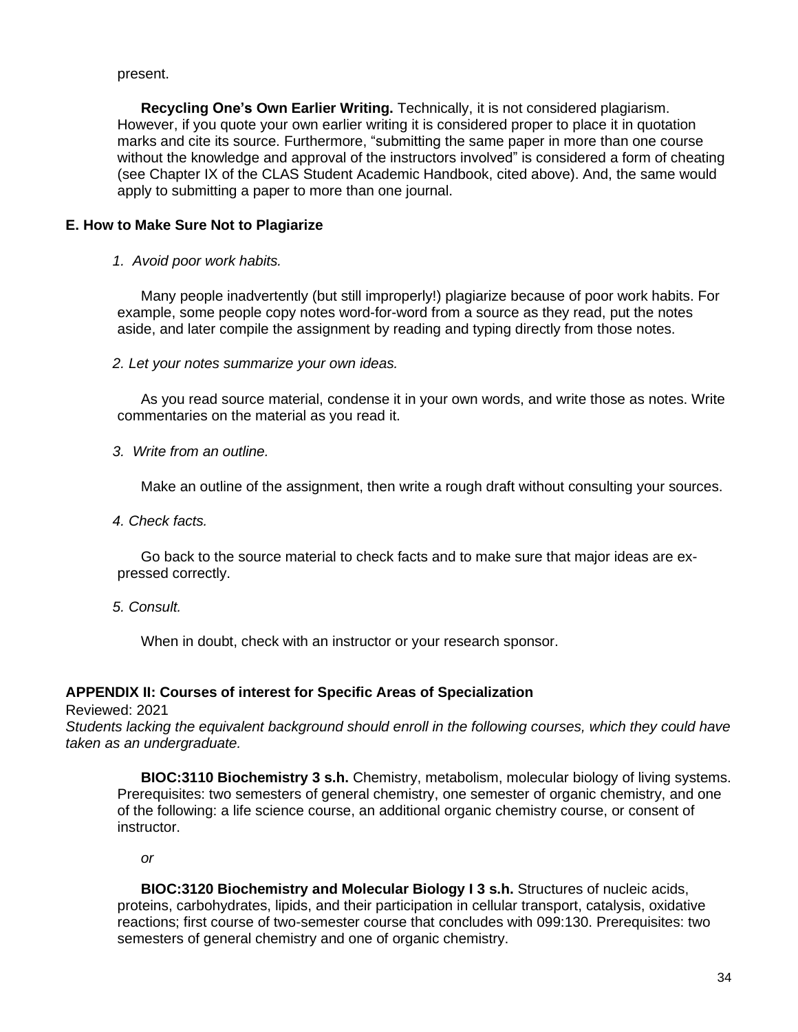#### present.

**Recycling One's Own Earlier Writing.** Technically, it is not considered plagiarism. However, if you quote your own earlier writing it is considered proper to place it in quotation marks and cite its source. Furthermore, "submitting the same paper in more than one course without the knowledge and approval of the instructors involved" is considered a form of cheating (see Chapter IX of the CLAS Student Academic Handbook, cited above). And, the same would apply to submitting a paper to more than one journal.

## <span id="page-33-0"></span>**E. How to Make Sure Not to Plagiarize**

<span id="page-33-1"></span>*1. Avoid poor work habits.*

Many people inadvertently (but still improperly!) plagiarize because of poor work habits. For example, some people copy notes word-for-word from a source as they read, put the notes aside, and later compile the assignment by reading and typing directly from those notes.

<span id="page-33-2"></span>*2. Let your notes summarize your own ideas.*

As you read source material, condense it in your own words, and write those as notes. Write commentaries on the material as you read it.

<span id="page-33-3"></span>*3. Write from an outline.*

Make an outline of the assignment, then write a rough draft without consulting your sources.

<span id="page-33-4"></span>*4. Check facts.*

Go back to the source material to check facts and to make sure that major ideas are expressed correctly.

<span id="page-33-5"></span>*5. Consult.*

When in doubt, check with an instructor or your research sponsor.

#### <span id="page-33-6"></span>**APPENDIX II: Courses of interest for Specific Areas of Specialization**

Reviewed: 2021

*Students lacking the equivalent background should enroll in the following courses, which they could have taken as an undergraduate.*

**BIOC:3110 Biochemistry 3 s.h.** Chemistry, metabolism, molecular biology of living systems. Prerequisites: two semesters of general chemistry, one semester of organic chemistry, and one of the following: a life science course, an additional organic chemistry course, or consent of instructor.

*or*

**BIOC:3120 Biochemistry and Molecular Biology I 3 s.h.** Structures of nucleic acids, proteins, carbohydrates, lipids, and their participation in cellular transport, catalysis, oxidative reactions; first course of two-semester course that concludes with 099:130. Prerequisites: two semesters of general chemistry and one of organic chemistry.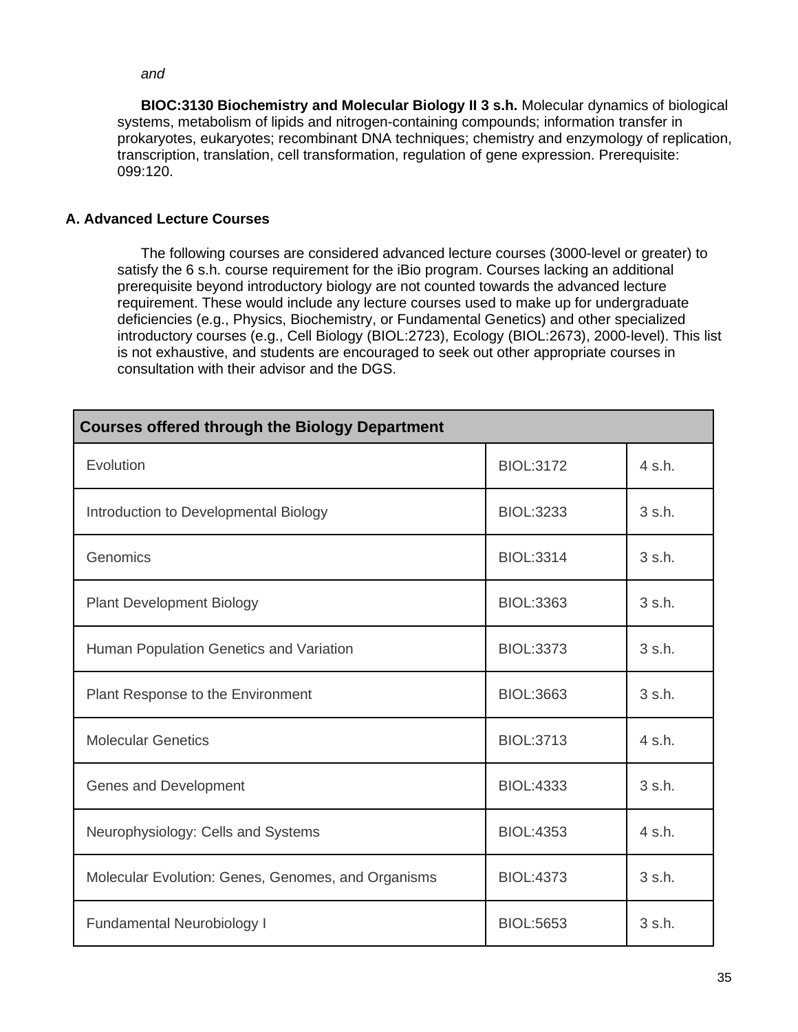*and*

**BIOC:3130 Biochemistry and Molecular Biology II 3 s.h.** Molecular dynamics of biological systems, metabolism of lipids and nitrogen-containing compounds; information transfer in prokaryotes, eukaryotes; recombinant DNA techniques; chemistry and enzymology of replication, transcription, translation, cell transformation, regulation of gene expression. Prerequisite: 099:120.

# <span id="page-34-0"></span>**A. Advanced Lecture Courses**

The following courses are considered advanced lecture courses (3000-level or greater) to satisfy the 6 s.h. course requirement for the iBio program. Courses lacking an additional prerequisite beyond introductory biology are not counted towards the advanced lecture requirement. These would include any lecture courses used to make up for undergraduate deficiencies (e.g., Physics, Biochemistry, or Fundamental Genetics) and other specialized introductory courses (e.g., Cell Biology (BIOL:2723), Ecology (BIOL:2673), 2000-level). This list is not exhaustive, and students are encouraged to seek out other appropriate courses in consultation with their advisor and the DGS.

| <b>Courses offered through the Biology Department</b> |                  |                  |
|-------------------------------------------------------|------------------|------------------|
| Evolution                                             | <b>BIOL:3172</b> | 4 s.h.           |
| Introduction to Developmental Biology                 | <b>BIOL:3233</b> | $3 \s. h.$       |
| Genomics                                              | <b>BIOL:3314</b> | $3 \s. h.$       |
| <b>Plant Development Biology</b>                      | <b>BIOL:3363</b> | $3 \text{ s.h.}$ |
| Human Population Genetics and Variation               | <b>BIOL:3373</b> | $3 \s. h.$       |
| Plant Response to the Environment                     | <b>BIOL:3663</b> | $3 \s. h.$       |
| <b>Molecular Genetics</b>                             | <b>BIOL:3713</b> | 4 s.h.           |
| Genes and Development                                 | <b>BIOL:4333</b> | $3 \text{ s.h.}$ |
| Neurophysiology: Cells and Systems                    | <b>BIOL:4353</b> | 4 s.h.           |
| Molecular Evolution: Genes, Genomes, and Organisms    | <b>BIOL:4373</b> | $3 \s. h.$       |
| <b>Fundamental Neurobiology I</b>                     | <b>BIOL:5653</b> | 3 s.h.           |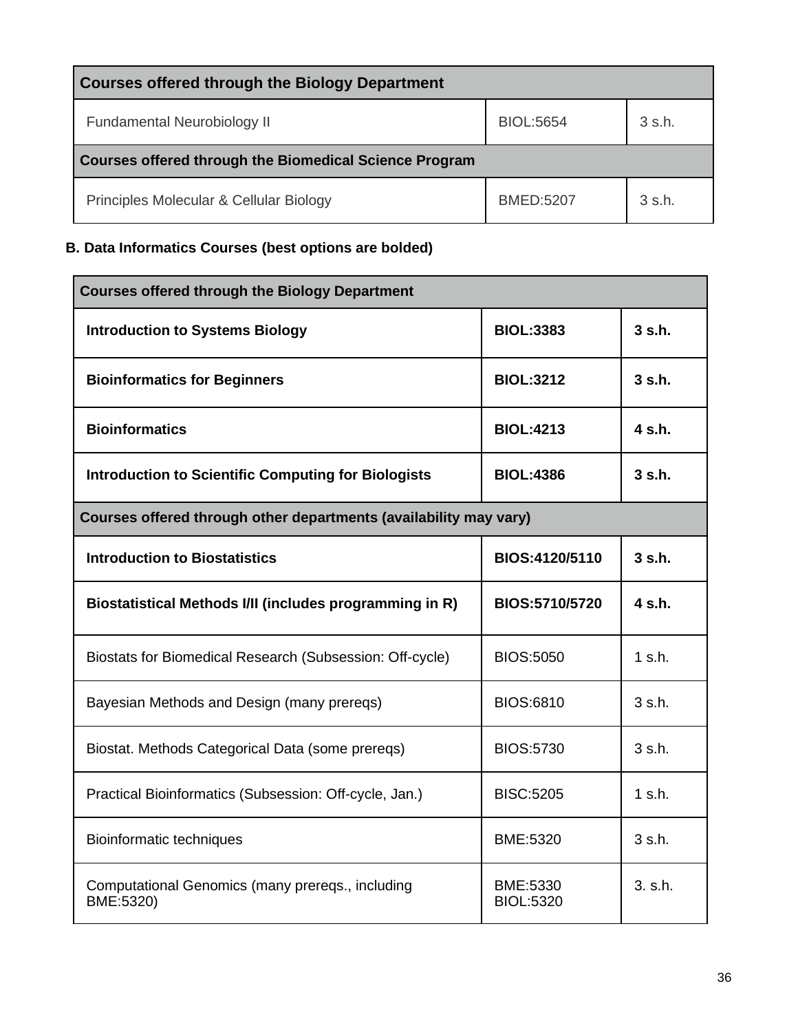| <b>Courses offered through the Biology Department</b>  |                  |                  |
|--------------------------------------------------------|------------------|------------------|
| Fundamental Neurobiology II                            | BIOL:5654        | 3 s.h.           |
| Courses offered through the Biomedical Science Program |                  |                  |
| Principles Molecular & Cellular Biology                | <b>BMED:5207</b> | $3 \text{ s.h.}$ |

# <span id="page-35-0"></span>**B. Data Informatics Courses (best options are bolded)**

| <b>Courses offered through the Biology Department</b>             |                              |                  |
|-------------------------------------------------------------------|------------------------------|------------------|
| <b>Introduction to Systems Biology</b>                            | <b>BIOL:3383</b>             | $3$ s.h.         |
| <b>Bioinformatics for Beginners</b>                               | <b>BIOL:3212</b>             | 3 <sub>sh.</sub> |
| <b>Bioinformatics</b>                                             | <b>BIOL:4213</b>             | $4 \,$ s.h.      |
| <b>Introduction to Scientific Computing for Biologists</b>        | <b>BIOL:4386</b>             | 3 s.h.           |
| Courses offered through other departments (availability may vary) |                              |                  |
| <b>Introduction to Biostatistics</b>                              | BIOS:4120/5110               | 3 <sub>sh.</sub> |
| Biostatistical Methods I/II (includes programming in R)           | BIOS:5710/5720               | 4 s.h.           |
| Biostats for Biomedical Research (Subsession: Off-cycle)          | <b>BIOS:5050</b>             | $1$ s.h.         |
| Bayesian Methods and Design (many prereqs)                        | <b>BIOS:6810</b>             | 3 s.h.           |
| Biostat. Methods Categorical Data (some prereqs)                  | <b>BIOS:5730</b>             | 3 s.h.           |
| Practical Bioinformatics (Subsession: Off-cycle, Jan.)            | <b>BISC:5205</b>             | $1$ s.h.         |
| Bioinformatic techniques                                          | BME:5320                     | 3 s.h.           |
| Computational Genomics (many prereqs., including<br>BME:5320)     | BME:5330<br><b>BIOL:5320</b> | 3. s.h.          |